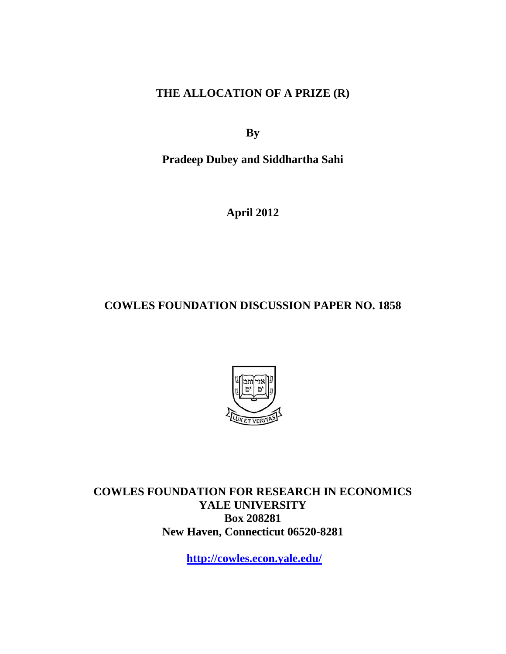**THE ALLOCATION OF A PRIZE (R)** 

**By** 

**Pradeep Dubey and Siddhartha Sahi** 

**April 2012** 

**COWLES FOUNDATION DISCUSSION PAPER NO. 1858** 



**COWLES FOUNDATION FOR RESEARCH IN ECONOMICS YALE UNIVERSITY Box 208281 New Haven, Connecticut 06520-8281** 

**http://cowles.econ.yale.edu/**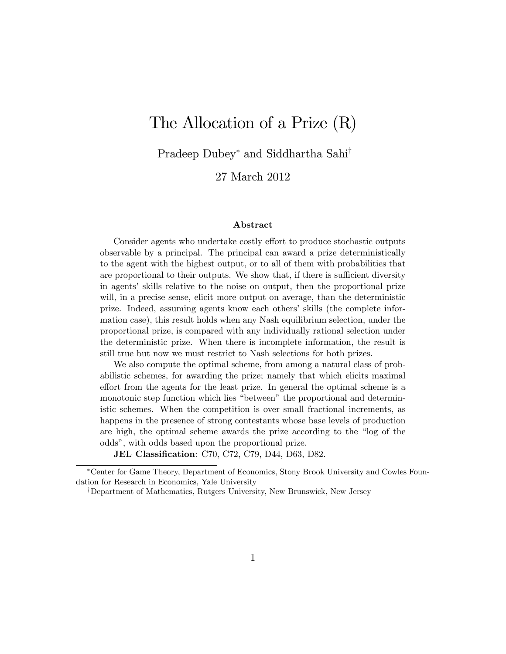# The Allocation of a Prize (R)

Pradeep Dubey<sup>\*</sup> and Siddhartha Sahi<sup>†</sup>

27 March 2012

#### Abstract

Consider agents who undertake costly effort to produce stochastic outputs observable by a principal. The principal can award a prize deterministically to the agent with the highest output, or to all of them with probabilities that are proportional to their outputs. We show that, if there is sufficient diversity in agents' skills relative to the noise on output, then the proportional prize will, in a precise sense, elicit more output on average, than the deterministic prize. Indeed, assuming agents know each othersí skills (the complete information case), this result holds when any Nash equilibrium selection, under the proportional prize, is compared with any individually rational selection under the deterministic prize. When there is incomplete information, the result is still true but now we must restrict to Nash selections for both prizes.

We also compute the optimal scheme, from among a natural class of probabilistic schemes, for awarding the prize; namely that which elicits maximal effort from the agents for the least prize. In general the optimal scheme is a monotonic step function which lies "between" the proportional and deterministic schemes. When the competition is over small fractional increments, as happens in the presence of strong contestants whose base levels of production are high, the optimal scheme awards the prize according to the "log of the oddsî, with odds based upon the proportional prize.

JEL Classification: C70, C72, C79, D44, D63, D82.

Center for Game Theory, Department of Economics, Stony Brook University and Cowles Foundation for Research in Economics, Yale University

<sup>&</sup>lt;sup>†</sup>Department of Mathematics, Rutgers University, New Brunswick, New Jersey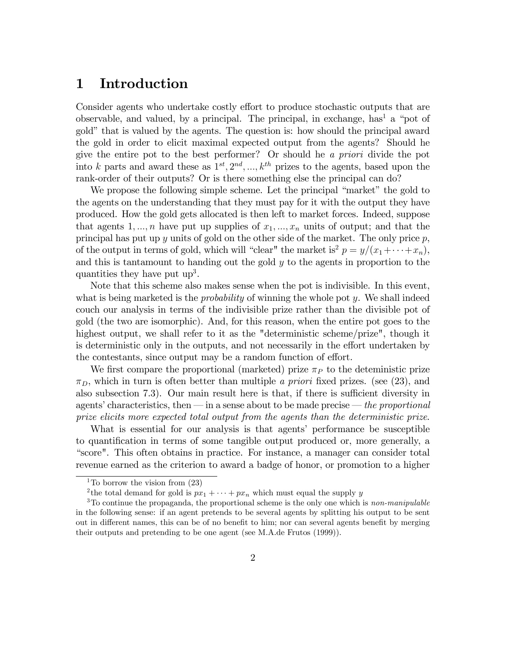## 1 Introduction

Consider agents who undertake costly effort to produce stochastic outputs that are observable, and valued, by a principal. The principal, in exchange, has<sup>1</sup> a "pot of gold" that is valued by the agents. The question is: how should the principal award the gold in order to elicit maximal expected output from the agents? Should he give the entire pot to the best performer? Or should he a priori divide the pot into k parts and award these as  $1^{st}, 2^{nd}, ..., k^{th}$  prizes to the agents, based upon the rank-order of their outputs? Or is there something else the principal can do?

We propose the following simple scheme. Let the principal "market" the gold to the agents on the understanding that they must pay for it with the output they have produced. How the gold gets allocated is then left to market forces. Indeed, suppose that agents 1, ..., *n* have put up supplies of  $x_1, ..., x_n$  units of output; and that the principal has put up  $y$  units of gold on the other side of the market. The only price  $p$ , of the output in terms of gold, which will "clear" the market is<sup>2</sup>  $p = y/(x_1 + \cdots + x_n)$ , and this is tantamount to handing out the gold y to the agents in proportion to the quantities they have put  $up<sup>3</sup>$ .

Note that this scheme also makes sense when the pot is indivisible. In this event, what is being marketed is the *probability* of winning the whole pot  $y$ . We shall indeed couch our analysis in terms of the indivisible prize rather than the divisible pot of gold (the two are isomorphic). And, for this reason, when the entire pot goes to the highest output, we shall refer to it as the "deterministic scheme/prize", though it is deterministic only in the outputs, and not necessarily in the effort undertaken by the contestants, since output may be a random function of effort.

We first compare the proportional (marketed) prize  $\pi_P$  to the deteministic prize  $\pi_D$ , which in turn is often better than multiple a priori fixed prizes. (see (23), and also subsection  $(7.3)$ . Our main result here is that, if there is sufficient diversity in agents' characteristics, then  $\frac{1}{n}$  in a sense about to be made precise  $\frac{1}{n}$  the proportional prize elicits more expected total output from the agents than the deterministic prize.

What is essential for our analysis is that agents' performance be susceptible to quantification in terms of some tangible output produced or, more generally, a ìscore". This often obtains in practice. For instance, a manager can consider total revenue earned as the criterion to award a badge of honor, or promotion to a higher

<sup>&</sup>lt;sup>1</sup>To borrow the vision from  $(23)$ 

<sup>&</sup>lt;sup>2</sup>the total demand for gold is  $px_1 + \cdots + px_n$  which must equal the supply y

 $3$ To continue the propaganda, the proportional scheme is the only one which is non-manipulable in the following sense: if an agent pretends to be several agents by splitting his output to be sent out in different names, this can be of no benefit to him; nor can several agents benefit by merging their outputs and pretending to be one agent (see M.A.de Frutos (1999)).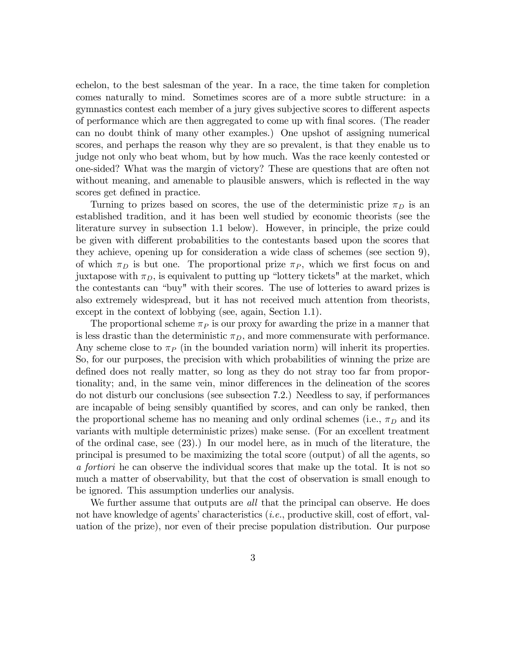echelon, to the best salesman of the year. In a race, the time taken for completion comes naturally to mind. Sometimes scores are of a more subtle structure: in a gymnastics contest each member of a jury gives subjective scores to different aspects of performance which are then aggregated to come up with Önal scores. (The reader can no doubt think of many other examples.) One upshot of assigning numerical scores, and perhaps the reason why they are so prevalent, is that they enable us to judge not only who beat whom, but by how much. Was the race keenly contested or one-sided? What was the margin of victory? These are questions that are often not without meaning, and amenable to plausible answers, which is reflected in the way scores get defined in practice.

Turning to prizes based on scores, the use of the deterministic prize  $\pi_D$  is an established tradition, and it has been well studied by economic theorists (see the literature survey in subsection 1.1 below). However, in principle, the prize could be given with different probabilities to the contestants based upon the scores that they achieve, opening up for consideration a wide class of schemes (see section 9), of which  $\pi_D$  is but one. The proportional prize  $\pi_P$ , which we first focus on and juxtapose with  $\pi_D$ , is equivalent to putting up "lottery tickets" at the market, which the contestants can "buy" with their scores. The use of lotteries to award prizes is also extremely widespread, but it has not received much attention from theorists, except in the context of lobbying (see, again, Section 1.1).

The proportional scheme  $\pi_P$  is our proxy for awarding the prize in a manner that is less drastic than the deterministic  $\pi_D$ , and more commensurate with performance. Any scheme close to  $\pi_P$  (in the bounded variation norm) will inherit its properties. So, for our purposes, the precision with which probabilities of winning the prize are defined does not really matter, so long as they do not stray too far from proportionality; and, in the same vein, minor differences in the delineation of the scores do not disturb our conclusions (see subsection 7.2.) Needless to say, if performances are incapable of being sensibly quantified by scores, and can only be ranked, then the proportional scheme has no meaning and only ordinal schemes (i.e.,  $\pi_D$  and its variants with multiple deterministic prizes) make sense. (For an excellent treatment of the ordinal case, see (23).) In our model here, as in much of the literature, the principal is presumed to be maximizing the total score (output) of all the agents, so a fortiori he can observe the individual scores that make up the total. It is not so much a matter of observability, but that the cost of observation is small enough to be ignored. This assumption underlies our analysis.

We further assume that outputs are all that the principal can observe. He does not have knowledge of agents' characteristics  $(i.e.,$  productive skill, cost of effort, valuation of the prize), nor even of their precise population distribution. Our purpose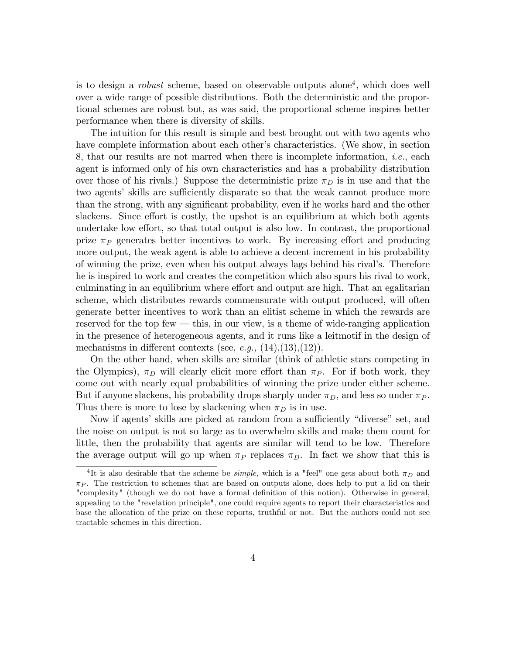is to design a *robust* scheme, based on observable outputs alone<sup>4</sup>, which does well over a wide range of possible distributions. Both the deterministic and the proportional schemes are robust but, as was said, the proportional scheme inspires better performance when there is diversity of skills.

The intuition for this result is simple and best brought out with two agents who have complete information about each other's characteristics. (We show, in section 8, that our results are not marred when there is incomplete information, i.e., each agent is informed only of his own characteristics and has a probability distribution over those of his rivals.) Suppose the deterministic prize  $\pi_D$  is in use and that the two agents' skills are sufficiently disparate so that the weak cannot produce more than the strong, with any significant probability, even if he works hard and the other slackens. Since effort is costly, the upshot is an equilibrium at which both agents undertake low effort, so that total output is also low. In contrast, the proportional prize  $\pi_P$  generates better incentives to work. By increasing effort and producing more output, the weak agent is able to achieve a decent increment in his probability of winning the prize, even when his output always lags behind his rivalís. Therefore he is inspired to work and creates the competition which also spurs his rival to work, culminating in an equilibrium where effort and output are high. That an egalitarian scheme, which distributes rewards commensurate with output produced, will often generate better incentives to work than an elitist scheme in which the rewards are reserved for the top few  $-$  this, in our view, is a theme of wide-ranging application in the presence of heterogeneous agents, and it runs like a leitmotif in the design of mechanisms in different contexts (see, e.g.,  $(14),(13),(12)$ ).

On the other hand, when skills are similar (think of athletic stars competing in the Olympics),  $\pi_D$  will clearly elicit more effort than  $\pi_P$ . For if both work, they come out with nearly equal probabilities of winning the prize under either scheme. But if anyone slackens, his probability drops sharply under  $\pi_D$ , and less so under  $\pi_P$ . Thus there is more to lose by slackening when  $\pi_D$  is in use.

Now if agents' skills are picked at random from a sufficiently "diverse" set, and the noise on output is not so large as to overwhelm skills and make them count for little, then the probability that agents are similar will tend to be low. Therefore the average output will go up when  $\pi_P$  replaces  $\pi_D$ . In fact we show that this is

<sup>&</sup>lt;sup>4</sup>It is also desirable that the scheme be *simple*, which is a "feel" one gets about both  $\pi_D$  and  $\pi_P$ . The restriction to schemes that are based on outputs alone, does help to put a lid on their "complexity" (though we do not have a formal definition of this notion). Otherwise in general, appealing to the "revelation principle", one could require agents to report their characteristics and base the allocation of the prize on these reports, truthful or not. But the authors could not see tractable schemes in this direction.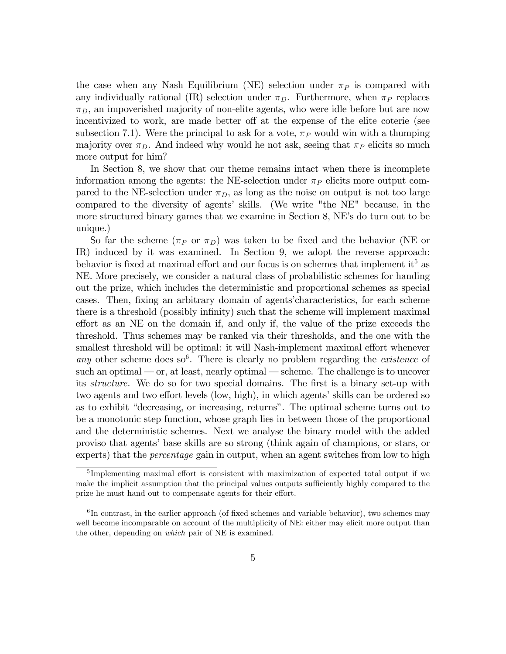the case when any Nash Equilibrium (NE) selection under  $\pi_P$  is compared with any individually rational (IR) selection under  $\pi_D$ . Furthermore, when  $\pi_P$  replaces  $\pi_D$ , an impoverished majority of non-elite agents, who were idle before but are now incentivized to work, are made better off at the expense of the elite coterie (see subsection 7.1). Were the principal to ask for a vote,  $\pi_P$  would win with a thumping majority over  $\pi_D$ . And indeed why would he not ask, seeing that  $\pi_P$  elicits so much more output for him?

In Section 8, we show that our theme remains intact when there is incomplete information among the agents: the NE-selection under  $\pi_P$  elicits more output compared to the NE-selection under  $\pi_D$ , as long as the noise on output is not too large compared to the diversity of agents' skills. (We write "the NE" because, in the more structured binary games that we examine in Section 8, NE's do turn out to be unique.)

So far the scheme  $(\pi_P \text{ or } \pi_D)$  was taken to be fixed and the behavior (NE or IR) induced by it was examined. In Section 9, we adopt the reverse approach: behavior is fixed at maximal effort and our focus is on schemes that implement it<sup>5</sup> as NE. More precisely, we consider a natural class of probabilistic schemes for handing out the prize, which includes the deterministic and proportional schemes as special cases. Then, fixing an arbitrary domain of agents characteristics, for each scheme there is a threshold (possibly infinity) such that the scheme will implement maximal effort as an NE on the domain if, and only if, the value of the prize exceeds the threshold. Thus schemes may be ranked via their thresholds, and the one with the smallest threshold will be optimal: it will Nash-implement maximal effort whenever any other scheme does  $\text{so}^6$ . There is clearly no problem regarding the *existence* of such an optimal  $\sim$  or, at least, nearly optimal  $\sim$  scheme. The challenge is to uncover its *structure*. We do so for two special domains. The first is a binary set-up with two agents and two effort levels (low, high), in which agents' skills can be ordered so as to exhibit "decreasing, or increasing, returns". The optimal scheme turns out to be a monotonic step function, whose graph lies in between those of the proportional and the deterministic schemes. Next we analyse the binary model with the added proviso that agentsíbase skills are so strong (think again of champions, or stars, or experts) that the *percentage* gain in output, when an agent switches from low to high

<sup>&</sup>lt;sup>5</sup>Implementing maximal effort is consistent with maximization of expected total output if we make the implicit assumption that the principal values outputs sufficiently highly compared to the prize he must hand out to compensate agents for their effort.

 ${}^{6}$ In contrast, in the earlier approach (of fixed schemes and variable behavior), two schemes may well become incomparable on account of the multiplicity of NE: either may elicit more output than the other, depending on which pair of NE is examined.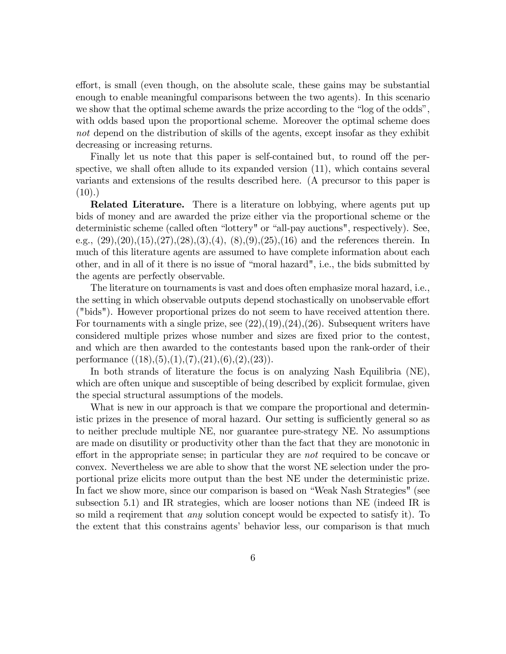effort, is small (even though, on the absolute scale, these gains may be substantial enough to enable meaningful comparisons between the two agents). In this scenario we show that the optimal scheme awards the prize according to the "log of the odds", with odds based upon the proportional scheme. Moreover the optimal scheme does not depend on the distribution of skills of the agents, except insofar as they exhibit decreasing or increasing returns.

Finally let us note that this paper is self-contained but, to round off the perspective, we shall often allude to its expanded version (11), which contains several variants and extensions of the results described here. (A precursor to this paper is  $(10).$ 

Related Literature. There is a literature on lobbying, where agents put up bids of money and are awarded the prize either via the proportional scheme or the deterministic scheme (called often "lottery" or "all-pay auctions", respectively). See, e.g.,  $(29),(20),(15),(27),(28),(3),(4),(8),(9),(25),(16)$  and the references therein. In much of this literature agents are assumed to have complete information about each other, and in all of it there is no issue of "moral hazard", i.e., the bids submitted by the agents are perfectly observable.

The literature on tournaments is vast and does often emphasize moral hazard, i.e., the setting in which observable outputs depend stochastically on unobservable effort ("bids"). However proportional prizes do not seem to have received attention there. For tournaments with a single prize, see  $(22),(19),(24),(26)$ . Subsequent writers have considered multiple prizes whose number and sizes are Öxed prior to the contest, and which are then awarded to the contestants based upon the rank-order of their performance  $((18),(5),(1),(7),(21),(6),(2),(23)).$ 

In both strands of literature the focus is on analyzing Nash Equilibria (NE), which are often unique and susceptible of being described by explicit formulae, given the special structural assumptions of the models.

What is new in our approach is that we compare the proportional and deterministic prizes in the presence of moral hazard. Our setting is sufficiently general so as to neither preclude multiple NE, nor guarantee pure-strategy NE. No assumptions are made on disutility or productivity other than the fact that they are monotonic in effort in the appropriate sense; in particular they are not required to be concave or convex. Nevertheless we are able to show that the worst NE selection under the proportional prize elicits more output than the best NE under the deterministic prize. In fact we show more, since our comparison is based on "Weak Nash Strategies" (see subsection 5.1) and IR strategies, which are looser notions than NE (indeed IR is so mild a reqirement that *any* solution concept would be expected to satisfy it). To the extent that this constrains agents' behavior less, our comparison is that much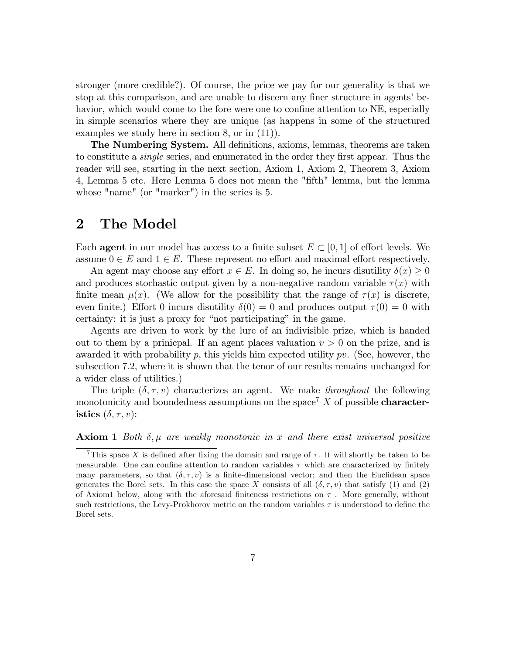stronger (more credible?). Of course, the price we pay for our generality is that we stop at this comparison, and are unable to discern any finer structure in agents' behavior, which would come to the fore were one to confine attention to NE, especially in simple scenarios where they are unique (as happens in some of the structured examples we study here in section 8, or in (11)).

The Numbering System. All definitions, axioms, lemmas, theorems are taken to constitute a *single* series, and enumerated in the order they first appear. Thus the reader will see, starting in the next section, Axiom 1, Axiom 2, Theorem 3, Axiom 4, Lemma 5 etc. Here Lemma 5 does not mean the "Öfth" lemma, but the lemma whose "name" (or "marker") in the series is 5.

# 2 The Model

Each **agent** in our model has access to a finite subset  $E \subset [0, 1]$  of effort levels. We assume  $0 \in E$  and  $1 \in E$ . These represent no effort and maximal effort respectively.

An agent may choose any effort  $x \in E$ . In doing so, he incurs disutility  $\delta(x) \geq 0$ and produces stochastic output given by a non-negative random variable  $\tau(x)$  with finite mean  $\mu(x)$ . (We allow for the possibility that the range of  $\tau(x)$  is discrete, even finite.) Effort 0 incurs disutility  $\delta(0) = 0$  and produces output  $\tau(0) = 0$  with certainty: it is just a proxy for "not participating" in the game.

Agents are driven to work by the lure of an indivisible prize, which is handed out to them by a prinicpal. If an agent places valuation  $v > 0$  on the prize, and is awarded it with probability  $p$ , this yields him expected utility  $pv$ . (See, however, the subsection 7.2, where it is shown that the tenor of our results remains unchanged for a wider class of utilities.)

The triple  $(\delta, \tau, v)$  characterizes an agent. We make throughout the following monotonicity and boundedness assumptions on the space<sup>7</sup> X of possible **character**istics  $(\delta, \tau, v)$ :

**Axiom 1** Both  $\delta$ ,  $\mu$  are weakly monotonic in x and there exist universal positive

<sup>&</sup>lt;sup>7</sup>This space X is defined after fixing the domain and range of  $\tau$ . It will shortly be taken to be measurable. One can confine attention to random variables  $\tau$  which are characterized by finitely many parameters, so that  $(\delta, \tau, v)$  is a finite-dimensional vector; and then the Euclidean space generates the Borel sets. In this case the space X consists of all  $(\delta, \tau, v)$  that satisfy (1) and (2) of Axiom1 below, along with the aforesaid finiteness restrictions on  $\tau$ . More generally, without such restrictions, the Levy-Prokhorov metric on the random variables  $\tau$  is understood to define the Borel sets.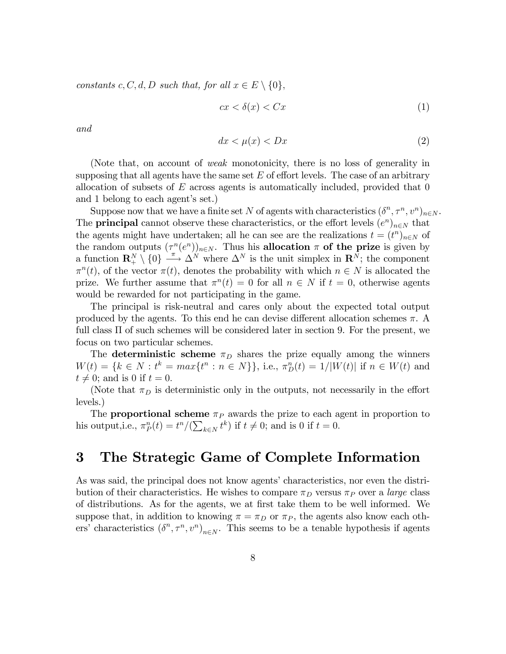constants c, C, d, D such that, for all  $x \in E \setminus \{0\}$ ,

$$
cx < \delta(x) < Cx \tag{1}
$$

and

$$
dx < \mu(x) < Dx \tag{2}
$$

(Note that, on account of weak monotonicity, there is no loss of generality in supposing that all agents have the same set  $E$  of effort levels. The case of an arbitrary allocation of subsets of  $E$  across agents is automatically included, provided that  $0$ and 1 belong to each agent's set.)

Suppose now that we have a finite set N of agents with characteristics  $(\delta^n, \tau^n, v^n)_{n \in N}$ . The **principal** cannot observe these characteristics, or the effort levels  $(e^n)_{n\in\mathbb{N}}$  that the agents might have undertaken; all he can see are the realizations  $t = (t^n)_{n \in N}$  of the random outputs  $(\tau^n(e^n))_{n\in\mathbb{N}}$ . Thus his allocation  $\pi$  of the prize is given by a function  $\mathbf{R}_{+}^{N} \setminus \{0\} \longrightarrow \Delta^{N}$  where  $\Delta^{N}$  is the unit simplex in  $\mathbf{R}_{+}^{N}$ ; the component  $\pi^{n}(t)$ , of the vector  $\pi(t)$ , denotes the probability with which  $n \in N$  is allocated the prize. We further assume that  $\pi^{n}(t) = 0$  for all  $n \in N$  if  $t = 0$ , otherwise agents would be rewarded for not participating in the game.

The principal is risk-neutral and cares only about the expected total output produced by the agents. To this end he can devise different allocation schemes  $\pi$ . A full class  $\Pi$  of such schemes will be considered later in section 9. For the present, we focus on two particular schemes.

The deterministic scheme  $\pi_D$  shares the prize equally among the winners  $W(t) = \{k \in N : t^k = max\{t^n : n \in N\}\},\$ i.e.,  $\pi_D^n(t) = 1/|W(t)|$  if  $n \in W(t)$  and  $t \neq 0$ ; and is 0 if  $t = 0$ .

(Note that  $\pi_D$  is deterministic only in the outputs, not necessarily in the effort levels.)

The **proportional scheme**  $\pi_P$  awards the prize to each agent in proportion to his output, i.e.,  $\pi_P^n(t) = t^n/(\sum_{k \in N} t^k)$  if  $t \neq 0$ ; and is 0 if  $t = 0$ .

# 3 The Strategic Game of Complete Information

As was said, the principal does not know agents' characteristics, nor even the distribution of their characteristics. He wishes to compare  $\pi_D$  versus  $\pi_P$  over a *large* class of distributions. As for the agents, we at first take them to be well informed. We suppose that, in addition to knowing  $\pi = \pi_D$  or  $\pi_P$ , the agents also know each others' characteristics  $(\delta^n, \tau^n, v^n)_{n \in \mathbb{N}}$ . This seems to be a tenable hypothesis if agents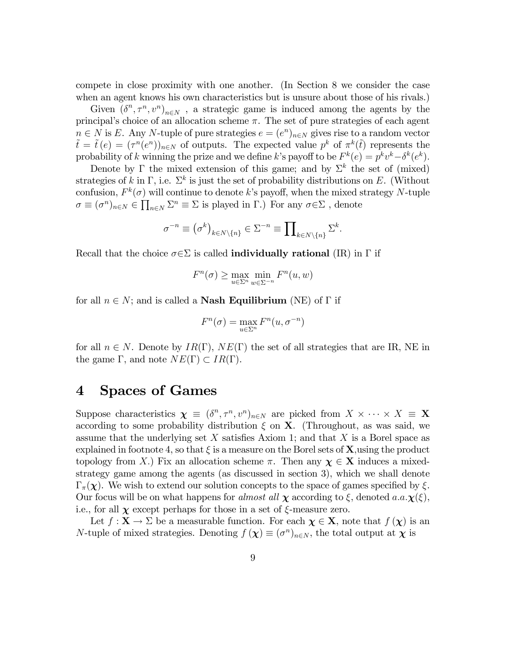compete in close proximity with one another. (In Section 8 we consider the case when an agent knows his own characteristics but is unsure about those of his rivals.)

Given  $(\delta^n, \tau^n, v^n)_{n \in N}$ , a strategic game is induced among the agents by the principal's choice of an allocation scheme  $\pi$ . The set of pure strategies of each agent  $n \in N$  is E. Any N-tuple of pure strategies  $e = (e^n)_{n \in N}$  gives rise to a random vector  $\tilde{t} = \tilde{t}(e) = (\tau^n(e^n))_{n \in \mathbb{N}}$  of outputs. The expected value  $p^k$  of  $\pi^k(\tilde{t})$  represents the probability of k winning the prize and we define k's payoff to be  $F^k(e) = p^k v^k - \delta^k(e^k)$ .

Denote by  $\Gamma$  the mixed extension of this game; and by  $\Sigma^k$  the set of (mixed) strategies of k in  $\Gamma$ , i.e.  $\Sigma^k$  is just the set of probability distributions on E. (Without confusion,  $F^k(\sigma)$  will continue to denote k's payoff, when the mixed strategy N-tuple  $\sigma \equiv (\sigma^n)_{n \in N} \in \prod_{n \in N} \Sigma^n \equiv \Sigma$  is played in  $\Gamma$ .) For any  $\sigma \in \Sigma$ , denote

$$
\sigma^{-n} \equiv (\sigma^k)_{k \in N \setminus \{n\}} \in \Sigma^{-n} \equiv \prod_{k \in N \setminus \{n\}} \Sigma^k.
$$

Recall that the choice  $\sigma \in \Sigma$  is called **individually rational** (IR) in  $\Gamma$  if

$$
F^{n}(\sigma) \ge \max_{u \in \Sigma^{n}} \min_{w \in \Sigma^{-n}} F^{n}(u, w)
$$

for all  $n \in N$ ; and is called a **Nash Equilibrium** (NE) of  $\Gamma$  if

$$
F^{n}(\sigma) = \max_{u \in \Sigma^{n}} F^{n}(u, \sigma^{-n})
$$

for all  $n \in N$ . Denote by  $IR(\Gamma)$ ,  $NE(\Gamma)$  the set of all strategies that are IR, NE in the game  $\Gamma$ , and note  $NE(\Gamma) \subset IR(\Gamma)$ .

## 4 Spaces of Games

Suppose characteristics  $\chi \equiv (\delta^n, \tau^n, v^n)_{n \in \mathbb{N}}$  are picked from  $X \times \cdots \times X \equiv \mathbf{X}$ according to some probability distribution  $\xi$  on **X**. (Throughout, as was said, we assume that the underlying set X satisfies Axiom 1; and that X is a Borel space as explained in footnote 4, so that  $\xi$  is a measure on the Borel sets of **X**, using the product topology from X.) Fix an allocation scheme  $\pi$ . Then any  $\chi \in X$  induces a mixedstrategy game among the agents (as discussed in section 3), which we shall denote  $\Gamma_{\pi}(\chi)$ . We wish to extend our solution concepts to the space of games specified by  $\xi$ . Our focus will be on what happens for *almost all*  $\chi$  according to  $\xi$ , denoted a.a. $\chi(\xi)$ , i.e., for all  $\chi$  except perhaps for those in a set of  $\xi$ -measure zero.

Let  $f: \mathbf{X} \to \Sigma$  be a measurable function. For each  $\chi \in \mathbf{X}$ , note that  $f(\chi)$  is an N-tuple of mixed strategies. Denoting  $f(\chi) \equiv (\sigma^n)_{n \in N}$ , the total output at  $\chi$  is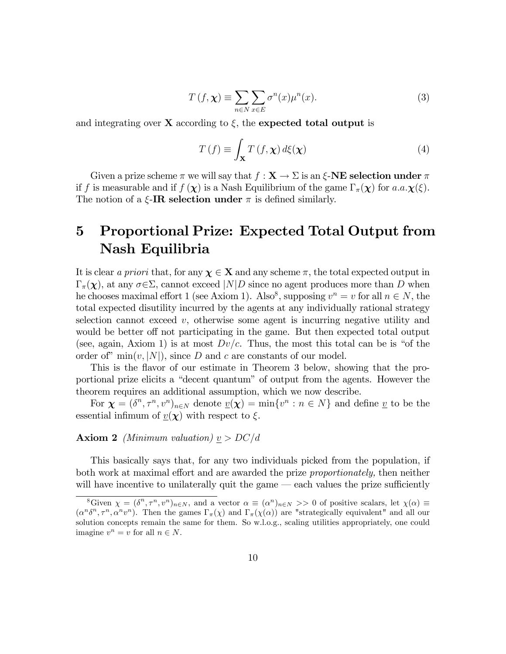$$
T(f, \chi) \equiv \sum_{n \in N} \sum_{x \in E} \sigma^n(x) \mu^n(x). \tag{3}
$$

and integrating over  $X$  according to  $\xi$ , the expected total output is

$$
T(f) \equiv \int_{\mathbf{X}} T(f, \mathbf{\chi}) d\xi(\mathbf{\chi})
$$
 (4)

Given a prize scheme  $\pi$  we will say that  $f : \mathbf{X} \to \Sigma$  is an  $\xi$ -NE selection under  $\pi$ if f is measurable and if  $f(\chi)$  is a Nash Equilibrium of the game  $\Gamma_{\pi}(\chi)$  for  $a.a.\chi(\xi)$ . The notion of a  $\xi$ -IR selection under  $\pi$  is defined similarly.

# 5 Proportional Prize: Expected Total Output from Nash Equilibria

It is clear a priori that, for any  $\chi \in X$  and any scheme  $\pi$ , the total expected output in  $\Gamma_{\pi}(\chi)$ , at any  $\sigma \in \Sigma$ , cannot exceed  $|N|D$  since no agent produces more than D when he chooses maximal effort 1 (see Axiom 1). Also<sup>8</sup>, supposing  $v^n = v$  for all  $n \in N$ , the total expected disutility incurred by the agents at any individually rational strategy selection cannot exceed  $v$ , otherwise some agent is incurring negative utility and would be better off not participating in the game. But then expected total output (see, again, Axiom 1) is at most  $Dv/c$ . Thus, the most this total can be is "of the order of  $\min(v, |N|)$ , since D and c are constants of our model.

This is the flavor of our estimate in Theorem 3 below, showing that the proportional prize elicits a "decent quantum" of output from the agents. However the theorem requires an additional assumption, which we now describe.

For  $\boldsymbol{\chi} = (\delta^n, \tau^n, v^n)_{n \in N}$  denote  $\underline{v}(\boldsymbol{\chi}) = \min\{v^n : n \in N\}$  and define  $\underline{v}$  to be the essential infimum of  $v(\chi)$  with respect to  $\xi$ .

#### **Axiom 2** (Minimum valuation)  $v > DC/d$

This basically says that, for any two individuals picked from the population, if both work at maximal effort and are awarded the prize proportionately, then neither will have incentive to unilaterally quit the game  $\sim$  each values the prize sufficiently

<sup>&</sup>lt;sup>8</sup>Given  $\chi = (\delta^n, \tau^n, v^n)_{n \in \mathbb{N}}$ , and a vector  $\alpha \equiv (\alpha^n)_{n \in \mathbb{N}} >> 0$  of positive scalars, let  $\chi(\alpha) \equiv$  $(\alpha^n \delta^n, \tau^n, \alpha^n v^n)$ . Then the games  $\Gamma_\pi(\chi)$  and  $\Gamma_\pi(\chi(\alpha))$  are "strategically equivalent" and all our solution concepts remain the same for them. So w.l.o.g., scaling utilities appropriately, one could imagine  $v^n = v$  for all  $n \in N$ .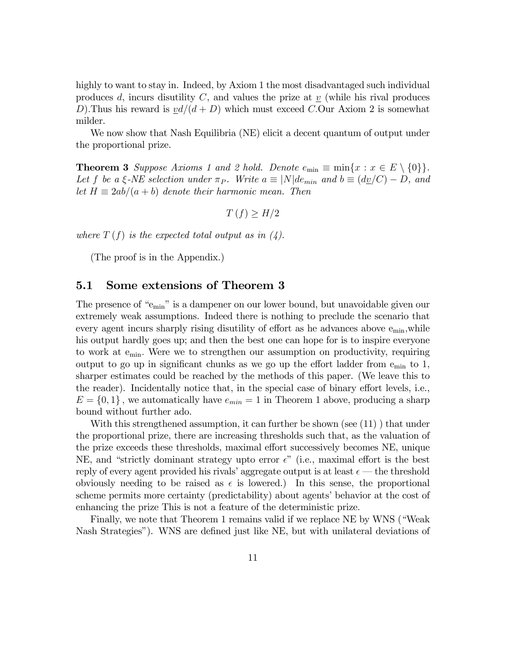highly to want to stay in. Indeed, by Axiom 1 the most disadvantaged such individual produces d, incurs disutility C, and values the prize at  $\bar{v}$  (while his rival produces D). Thus his reward is  $vd/(d + D)$  which must exceed C.Our Axiom 2 is somewhat milder.

We now show that Nash Equilibria (NE) elicit a decent quantum of output under the proportional prize.

**Theorem 3** Suppose Axioms 1 and 2 hold. Denote  $e_{\min} \equiv \min\{x : x \in E \setminus \{0\}\}.$ Let f be a  $\xi$ -NE selection under  $\pi_P$ . Write  $a \equiv |N|de_{min}$  and  $b \equiv (d\underline{v}/C) - D$ , and let  $H \equiv 2ab/(a + b)$  denote their harmonic mean. Then

$$
T(f) \ge H/2
$$

where  $T(f)$  is the expected total output as in  $(4)$ .

(The proof is in the Appendix.)

## 5.1 Some extensions of Theorem 3

The presence of " $e_{\min}$ " is a dampener on our lower bound, but unavoidable given our extremely weak assumptions. Indeed there is nothing to preclude the scenario that every agent incurs sharply rising disutility of effort as he advances above  $e_{min}$ , while his output hardly goes up; and then the best one can hope for is to inspire everyone to work at emin: Were we to strengthen our assumption on productivity, requiring output to go up in significant chunks as we go up the effort ladder from  $e_{\min}$  to 1, sharper estimates could be reached by the methods of this paper. (We leave this to the reader). Incidentally notice that, in the special case of binary effort levels, i.e.,  $E = \{0, 1\}$ , we automatically have  $e_{min} = 1$  in Theorem 1 above, producing a sharp bound without further ado.

With this strengthened assumption, it can further be shown (see (11)) that under the proportional prize, there are increasing thresholds such that, as the valuation of the prize exceeds these thresholds, maximal effort successively becomes NE, unique NE, and "strictly dominant strategy upto error  $\epsilon$ " (i.e., maximal effort is the best reply of every agent provided his rivals' aggregate output is at least  $\epsilon$  — the threshold obviously needing to be raised as  $\epsilon$  is lowered.) In this sense, the proportional scheme permits more certainty (predictability) about agents' behavior at the cost of enhancing the prize This is not a feature of the deterministic prize.

Finally, we note that Theorem 1 remains valid if we replace NE by WNS ("Weak") Nash Strategies"). WNS are defined just like NE, but with unilateral deviations of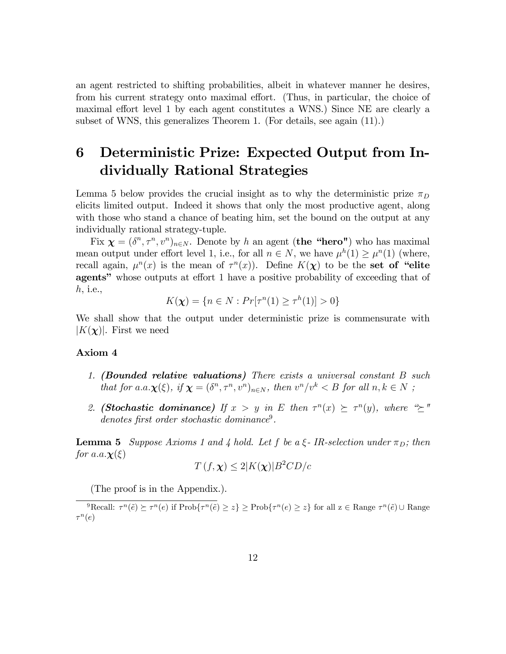an agent restricted to shifting probabilities, albeit in whatever manner he desires, from his current strategy onto maximal effort. (Thus, in particular, the choice of maximal effort level 1 by each agent constitutes a WNS.) Since NE are clearly a subset of WNS, this generalizes Theorem 1. (For details, see again (11).)

# 6 Deterministic Prize: Expected Output from Individually Rational Strategies

Lemma 5 below provides the crucial insight as to why the deterministic prize  $\pi_D$ elicits limited output. Indeed it shows that only the most productive agent, along with those who stand a chance of beating him, set the bound on the output at any individually rational strategy-tuple.

Fix  $\boldsymbol{\chi} = (\delta^n, \tau^n, v^n)_{n \in N}$ . Denote by h an agent (the "hero") who has maximal mean output under effort level 1, i.e., for all  $n \in N$ , we have  $\mu^{h}(1) \geq \mu^{n}(1)$  (where, recall again,  $\mu^{n}(x)$  is the mean of  $\tau^{n}(x)$ ). Define  $K(\chi)$  to be the set of "elite agents" whose outputs at effort 1 have a positive probability of exceeding that of h, i.e.,

$$
K(\chi) = \{ n \in N : Pr[\tau^n(1) \ge \tau^h(1)] > 0 \}
$$

We shall show that the output under deterministic prize is commensurate with  $|K(\chi)|$ . First we need

#### Axiom 4

- 1. (Bounded relative valuations) There exists a universal constant B such that for  $a.a.\chi(\xi)$ , if  $\chi = (\delta^n, \tau^n, v^n)_{n \in N}$ , then  $v^n/v^k < B$  for all  $n, k \in N$ ;
- 2. (Stochastic dominance) If  $x > y$  in E then  $\tau^n(x) \succeq \tau^n(y)$ , where " $\succeq$ " denotes first order stochastic dominance<sup>9</sup>.

**Lemma 5** Suppose Axioms 1 and 4 hold. Let f be a  $\xi$ -IR-selection under  $\pi_D$ ; then for a.a. $\chi(\xi)$ 

$$
T(f, \chi) \le 2|K(\chi)|B^2CD/c
$$

(The proof is in the Appendix.).

<sup>9</sup>Recall:  $\tau^n(\tilde{e}) \succeq \tau^n(e)$  if  $\text{Prob}\{\tau^n(\tilde{e}) \geq z\} \geq \text{Prob}\{\tau^n(e) \geq z\}$  for all  $z \in \text{Range } \tau^n(\tilde{e}) \cup \text{Range } \tau^n(z)$  $\tau^n(e)$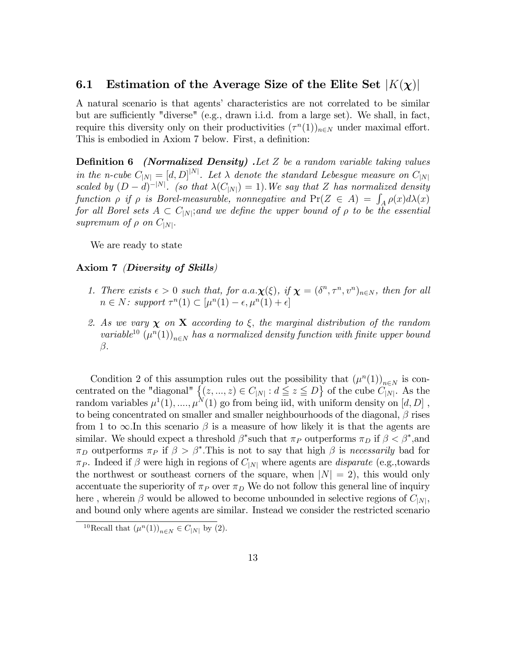#### 6.1 Estimation of the Average Size of the Elite Set  $|K(\chi)|$

A natural scenario is that agents' characteristics are not correlated to be similar but are sufficiently "diverse" (e.g., drawn i.i.d. from a large set). We shall, in fact, require this diversity only on their productivities  $(\tau^{n}(1))_{n\in N}$  under maximal effort. This is embodied in Axiom 7 below. First, a definition:

**Definition 6** (*Normalized Density*). Let Z be a random variable taking values in the n-cube  $C_{N} = [d, D]^{N}$ . Let  $\lambda$  denote the standard Lebesgue measure on  $C_{N}$ scaled by  $(D - d)^{-|N|}$ . (so that  $\lambda(C_{|N|}) = 1$ ). We say that Z has normalized density function  $\rho$  if  $\rho$  is Borel-measurable, nonnegative and  $Pr(Z \in A) = \int_A \rho(x) d\lambda(x)$ for all Borel sets  $A \text{ }\subset C_{|N|}$ ; and we define the upper bound of  $\rho$  to be the essential supremum of  $\rho$  on  $C_{|N|}$ .

We are ready to state

#### Axiom 7 (Diversity of Skills)

- 1. There exists  $\epsilon > 0$  such that, for  $a.a.\chi(\xi)$ , if  $\chi = (\delta^n, \tau^n, v^n)_{n \in \mathbb{N}}$ , then for all  $n \in N$ : support  $\tau^n(1) \subset [\mu^n(1) - \epsilon, \mu^n(1) + \epsilon]$
- 2. As we vary  $\chi$  on X according to  $\xi$ , the marginal distribution of the random variable<sup>10</sup>  $(\mu^n(1))_{n\in\mathbb{N}}$  has a normalized density function with finite upper bound  $\beta$ .

Condition 2 of this assumption rules out the possibility that  $(\mu^n(1))_{n\in\mathbb{N}}$  is concentrated on the "diagonal"  $\{(z,...,z)\in C_{|N|}: d\leq z \leq D\}$  of the cube  $C_{|N|}$ . As the random variables  $\mu^1(1), ..., \mu^N(1)$  go from being iid, with uniform density on  $[d, D]$ , to being concentrated on smaller and smaller neighbourhoods of the diagonal,  $\beta$  rises from 1 to  $\infty$ . In this scenario  $\beta$  is a measure of how likely it is that the agents are similar. We should expect a threshold  $\beta^*$  such that  $\pi_P$  outperforms  $\pi_D$  if  $\beta < \beta^*$ , and  $\pi_D$  outperforms  $\pi_P$  if  $\beta > \beta^*$ . This is not to say that high  $\beta$  is necessarily bad for  $\pi_P$ . Indeed if  $\beta$  were high in regions of  $C_{|N|}$  where agents are *disparate* (e.g.,towards the northwest or southeast corners of the square, when  $|N|=2$ ), this would only accentuate the superiority of  $\pi_P$  over  $\pi_D$ . We do not follow this general line of inquiry here , wherein  $\beta$  would be allowed to become unbounded in selective regions of  $C_{|N|}$ , and bound only where agents are similar. Instead we consider the restricted scenario

<sup>&</sup>lt;sup>10</sup>Recall that  $(\mu^n(1))_{n \in N} \in C_{|N|}$  by (2).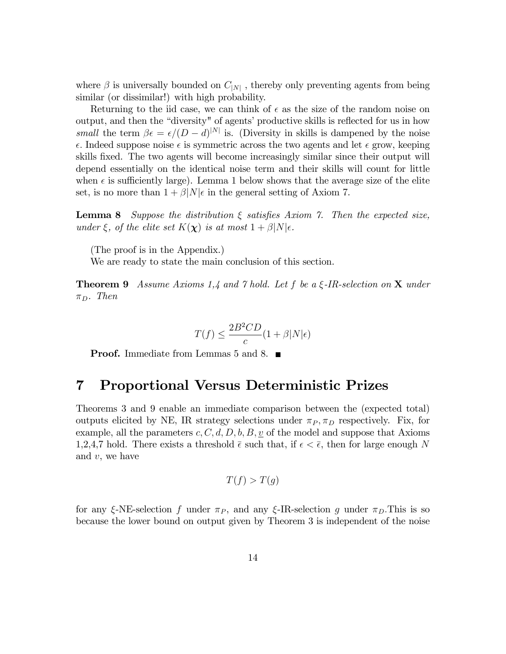where  $\beta$  is universally bounded on  $C_{|N|}$ , thereby only preventing agents from being similar (or dissimilar!) with high probability.

Returning to the iid case, we can think of  $\epsilon$  as the size of the random noise on output, and then the "diversity" of agents' productive skills is reflected for us in how small the term  $\beta \epsilon = \epsilon/(D - d)^{|N|}$  is. (Diversity in skills is dampened by the noise  $\epsilon$ . Indeed suppose noise  $\epsilon$  is symmetric across the two agents and let  $\epsilon$  grow, keeping skills fixed. The two agents will become increasingly similar since their output will depend essentially on the identical noise term and their skills will count for little when  $\epsilon$  is sufficiently large). Lemma 1 below shows that the average size of the elite set, is no more than  $1 + \beta |N|\epsilon$  in the general setting of Axiom 7.

**Lemma 8** Suppose the distribution  $\xi$  satisfies Axiom 7. Then the expected size, under  $\xi$ , of the elite set  $K(\chi)$  is at most  $1 + \beta |N|\epsilon$ .

(The proof is in the Appendix.)

We are ready to state the main conclusion of this section.

**Theorem 9** Assume Axioms 1,4 and 7 hold. Let f be a  $\xi$ -IR-selection on **X** under  $\pi_D$ . Then

$$
T(f) \le \frac{2B^2CD}{c}(1+\beta|N|\epsilon)
$$

**Proof.** Immediate from Lemmas 5 and 8.  $\blacksquare$ 

## 7 Proportional Versus Deterministic Prizes

Theorems 3 and 9 enable an immediate comparison between the (expected total) outputs elicited by NE, IR strategy selections under  $\pi_P, \pi_D$  respectively. Fix, for example, all the parameters  $c, C, d, D, b, B, v$  of the model and suppose that Axioms 1,2,4,7 hold. There exists a threshold  $\bar{\epsilon}$  such that, if  $\epsilon < \bar{\epsilon}$ , then for large enough N and  $v$ , we have

$$
T(f) > T(g)
$$

for any  $\xi$ -NE-selection f under  $\pi_P$ , and any  $\xi$ -IR-selection g under  $\pi_D$ . This is so because the lower bound on output given by Theorem 3 is independent of the noise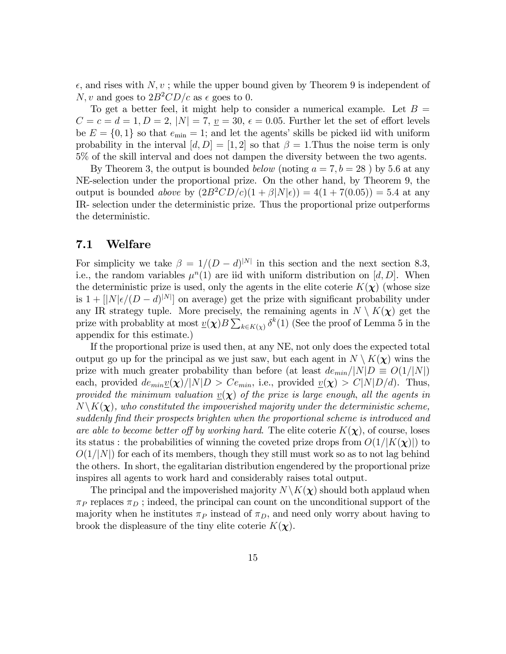$\epsilon$ , and rises with N, v; while the upper bound given by Theorem 9 is independent of N, v and goes to  $2B^2CD/c$  as  $\epsilon$  goes to 0.

To get a better feel, it might help to consider a numerical example. Let  $B =$  $C = c = d = 1, D = 2, |N| = 7, \underline{v} = 30, \epsilon = 0.05.$  Further let the set of effort levels be  $E = \{0, 1\}$  so that  $e_{\min} = 1$ ; and let the agents' skills be picked iid with uniform probability in the interval  $[d, D] = [1, 2]$  so that  $\beta = 1$ . Thus the noise term is only 5% of the skill interval and does not dampen the diversity between the two agents.

By Theorem 3, the output is bounded *below* (noting  $a = 7, b = 28$ ) by 5.6 at any NE-selection under the proportional prize. On the other hand, by Theorem 9, the output is bounded *above* by  $(2B^2CD/c)(1 + \beta|N|\epsilon) = 4(1 + 7(0.05)) = 5.4$  at any IR- selection under the deterministic prize. Thus the proportional prize outperforms the deterministic.

#### 7.1 Welfare

For simplicity we take  $\beta = 1/(D - d)^{|N|}$  in this section and the next section 8.3, i.e., the random variables  $\mu^{n}(1)$  are iid with uniform distribution on [d, D]. When the deterministic prize is used, only the agents in the elite coterie  $K(\chi)$  (whose size is  $1 + [|N|\epsilon/(D - d)^{|N|}]$  on average) get the prize with significant probability under any IR strategy tuple. More precisely, the remaining agents in  $N \setminus K(\chi)$  get the prize with probablity at most  $\underline{v}(\boldsymbol{\chi})B\sum_{k\in K(\boldsymbol{\chi})}\delta^k(1)$  (See the proof of Lemma 5 in the appendix for this estimate.)

If the proportional prize is used then, at any NE, not only does the expected total output go up for the principal as we just saw, but each agent in  $N \setminus K(\chi)$  wins the prize with much greater probability than before (at least  $de_{min}/|N|D \equiv O(1/|N|)$ ) each, provided  $de_{min}\underline{v}(\chi)/|N|D > Ce_{min}$ , i.e., provided  $\underline{v}(\chi) > C|N|D/d$ . Thus, provided the minimum valuation  $v(\mathbf{x})$  of the prize is large enough, all the agents in  $N\backslash K(\chi)$ , who constituted the impoverished majority under the deterministic scheme, suddenly find their prospects brighten when the proportional scheme is introduced and are able to become better off by working hard. The elite coterie  $K(\chi)$ , of course, loses its status : the probabilities of winning the coveted prize drops from  $O(1/|K(\chi)|)$  to  $O(1/|N|)$  for each of its members, though they still must work so as to not lag behind the others. In short, the egalitarian distribution engendered by the proportional prize inspires all agents to work hard and considerably raises total output.

The principal and the impoverished majority  $N\backslash K(\chi)$  should both applaud when  $\pi_P$  replaces  $\pi_D$ ; indeed, the principal can count on the unconditional support of the majority when he institutes  $\pi_P$  instead of  $\pi_D$ , and need only worry about having to brook the displeasure of the tiny elite coterie  $K(\chi)$ .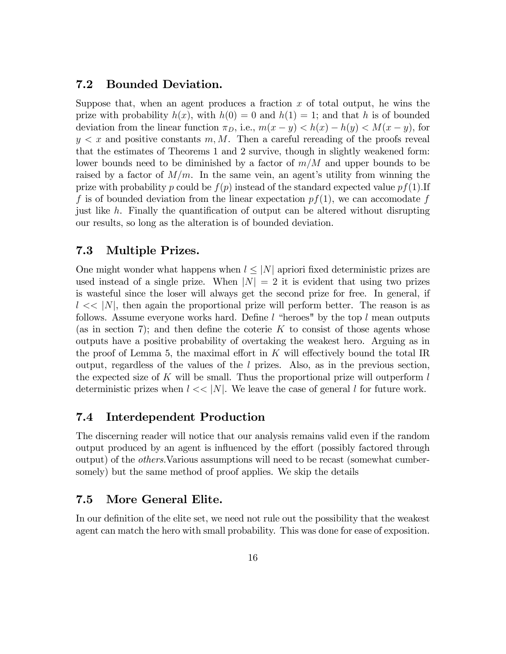#### 7.2 Bounded Deviation.

Suppose that, when an agent produces a fraction  $x$  of total output, he wins the prize with probability  $h(x)$ , with  $h(0) = 0$  and  $h(1) = 1$ ; and that h is of bounded deviation from the linear function  $\pi_D$ , i.e.,  $m(x - y) < h(x) - h(y) < M(x - y)$ , for  $y < x$  and positive constants  $m, M$ . Then a careful rereading of the proofs reveal that the estimates of Theorems 1 and 2 survive, though in slightly weakened form: lower bounds need to be diminished by a factor of  $m/M$  and upper bounds to be raised by a factor of  $M/m$ . In the same vein, an agent's utility from winning the prize with probability p could be  $f(p)$  instead of the standard expected value  $pf(1).$  If f is of bounded deviation from the linear expectation  $pf(1)$ , we can accomodate f just like h. Finally the quantification of output can be altered without disrupting our results, so long as the alteration is of bounded deviation.

### 7.3 Multiple Prizes.

One might wonder what happens when  $l \leq |N|$  apriori fixed deterministic prizes are used instead of a single prize. When  $|N|=2$  it is evident that using two prizes is wasteful since the loser will always get the second prize for free. In general, if  $l \ll |N|$ , then again the proportional prize will perform better. The reason is as follows. Assume everyone works hard. Define  $l$  "heroes" by the top  $l$  mean outputs (as in section 7); and then define the coterie K to consist of those agents whose outputs have a positive probability of overtaking the weakest hero. Arguing as in the proof of Lemma 5, the maximal effort in  $K$  will effectively bound the total IR output, regardless of the values of the l prizes. Also, as in the previous section, the expected size of K will be small. Thus the proportional prize will outperform  $l$ deterministic prizes when  $l \ll |N|$ . We leave the case of general l for future work.

### 7.4 Interdependent Production

The discerning reader will notice that our analysis remains valid even if the random output produced by an agent is influenced by the effort (possibly factored through output) of the others.Various assumptions will need to be recast (somewhat cumbersomely) but the same method of proof applies. We skip the details

### 7.5 More General Elite.

In our definition of the elite set, we need not rule out the possibility that the weakest agent can match the hero with small probability. This was done for ease of exposition.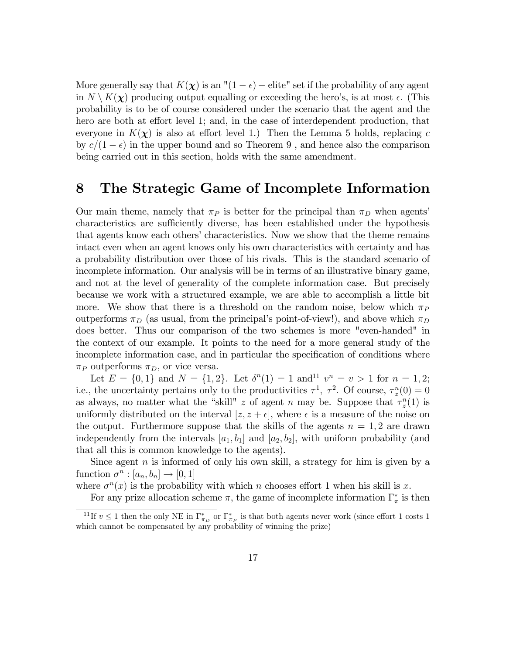More generally say that  $K(\chi)$  is an " $(1 - \epsilon)$  - elite" set if the probability of any agent in  $N \setminus K(\chi)$  producing output equalling or exceeding the hero's, is at most  $\epsilon$ . (This probability is to be of course considered under the scenario that the agent and the hero are both at effort level 1; and, in the case of interdependent production, that everyone in  $K(\chi)$  is also at effort level 1.) Then the Lemma 5 holds, replacing c by  $c/(1 - \epsilon)$  in the upper bound and so Theorem 9, and hence also the comparison being carried out in this section, holds with the same amendment.

# 8 The Strategic Game of Incomplete Information

Our main theme, namely that  $\pi_P$  is better for the principal than  $\pi_D$  when agents' characteristics are sufficiently diverse, has been established under the hypothesis that agents know each others' characteristics. Now we show that the theme remains intact even when an agent knows only his own characteristics with certainty and has a probability distribution over those of his rivals. This is the standard scenario of incomplete information. Our analysis will be in terms of an illustrative binary game, and not at the level of generality of the complete information case. But precisely because we work with a structured example, we are able to accomplish a little bit more. We show that there is a threshold on the random noise, below which  $\pi_P$ outperforms  $\pi_D$  (as usual, from the principal's point-of-view!), and above which  $\pi_D$ does better. Thus our comparison of the two schemes is more "even-handed" in the context of our example. It points to the need for a more general study of the incomplete information case, and in particular the specification of conditions where  $\pi_P$  outperforms  $\pi_D$ , or vice versa.

Let  $E = \{0, 1\}$  and  $N = \{1, 2\}$ . Let  $\delta^{n}(1) = 1$  and  $v^{n} = v > 1$  for  $n = 1, 2$ ; i.e., the uncertainty pertains only to the productivities  $\tau^1$ ,  $\tau^2$ . Of course,  $\tau_z^n(0) = 0$ as always, no matter what the "skill" z of agent n may be. Suppose that  $\tau_z^n(1)$  is uniformly distributed on the interval  $[z, z + \epsilon]$ , where  $\epsilon$  is a measure of the noise on the output. Furthermore suppose that the skills of the agents  $n = 1, 2$  are drawn independently from the intervals  $[a_1, b_1]$  and  $[a_2, b_2]$ , with uniform probability (and that all this is common knowledge to the agents).

Since agent  $n$  is informed of only his own skill, a strategy for him is given by a function  $\sigma^n : [a_n, b_n] \to [0, 1]$ 

where  $\sigma^{n}(x)$  is the probability with which n chooses effort 1 when his skill is x.

For any prize allocation scheme  $\pi$ , the game of incomplete information  $\Gamma^*_{\pi}$  is then

<sup>&</sup>lt;sup>11</sup>If  $v \le 1$  then the only NE in  $\Gamma^*_{\pi_P}$  or  $\Gamma^*_{\pi_P}$  is that both agents never work (since effort 1 costs 1 which cannot be compensated by any probability of winning the prize)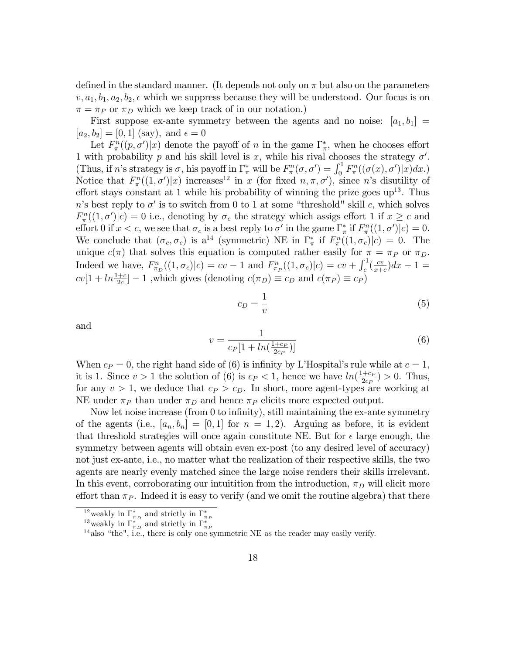defined in the standard manner. (It depends not only on  $\pi$  but also on the parameters  $v, a_1, b_1, a_2, b_2, \epsilon$  which we suppress because they will be understood. Our focus is on  $\pi = \pi_P$  or  $\pi_D$  which we keep track of in our notation.)

First suppose ex-ante symmetry between the agents and no noise:  $[a_1, b_1] =$  $[a_2, b_2] = [0, 1]$  (say), and  $\epsilon = 0$ 

Let  $F_{\pi}^{n}((p, \sigma')|x)$  denote the payoff of n in the game  $\Gamma_{\pi}^{*}$ , when he chooses effort 1 with probability p and his skill level is x, while his rival chooses the strategy  $\sigma'$ . (Thus, if *n*'s strategy is  $\sigma$ , his payoff in  $\Gamma^*_{\pi}$  will be  $F_{\pi}^n(\sigma, \sigma') = \int_0^1 F_{\pi}^n((\sigma(x), \sigma')|x)dx$ .) Notice that  $F_{\pi}^n((1, \sigma')|x)$  increases<sup>12</sup> in x (for fixed  $n, \pi, \sigma'$ ), since n's disutility of effort stays constant at 1 while his probability of winning the prize goes  $up^{13}$ . Thus n's best reply to  $\sigma'$  is to switch from 0 to 1 at some "threshold" skill c, which solves  $F_{\pi}^{n}((1,\sigma')|c) = 0$  i.e., denoting by  $\sigma_c$  the strategy which assigs effort 1 if  $x \geq c$  and effort 0 if  $x < c$ , we see that  $\sigma_c$  is a best reply to  $\sigma'$  in the game  $\Gamma^*_{\pi}$  if  $F^n_{\pi}((1, \sigma')|c) = 0$ . We conclude that  $(\sigma_c, \sigma_c)$  is a<sup>14</sup> (symmetric) NE in  $\Gamma^*_{\pi}$  if  $F^n_{\pi}((1, \sigma_c)|c) = 0$ . The unique  $c(\pi)$  that solves this equation is computed rather easily for  $\pi = \pi_P$  or  $\pi_D$ . Indeed we have,  $F_{\pi_D}^n((1, \sigma_c)|c) = cv - 1$  and  $F_{\pi_P}^n((1, \sigma_c)|c) = cv + \int_c^1(\frac{cv}{x+1})$  $\frac{cv}{x+c}$ ) $dx-1=$  $cv[1 + ln\frac{1+c}{2c}] - 1$ , which gives (denoting  $c(\pi_D) \equiv c_D$  and  $c(\pi_P) \equiv c_P$ )

$$
c_D = \frac{1}{v} \tag{5}
$$

and

$$
v = \frac{1}{c_P[1 + \ln(\frac{1+c_P}{2c_P})]}
$$
(6)

When  $c_P = 0$ , the right hand side of (6) is infinity by L'Hospital's rule while at  $c = 1$ , it is 1. Since  $v > 1$  the solution of (6) is  $c_P < 1$ , hence we have  $ln(\frac{1+c_P}{2c_P})$  $\frac{+c_P}{2c_P}$ ) > 0. Thus, for any  $v > 1$ , we deduce that  $c_P > c_D$ . In short, more agent-types are working at NE under  $\pi_P$  than under  $\pi_D$  and hence  $\pi_P$  elicits more expected output.

Now let noise increase (from  $0$  to infinity), still maintaining the ex-ante symmetry of the agents (i.e.,  $[a_n, b_n] = [0, 1]$  for  $n = 1, 2$ ). Arguing as before, it is evident that threshold strategies will once again constitute NE. But for  $\epsilon$  large enough, the symmetry between agents will obtain even ex-post (to any desired level of accuracy) not just ex-ante, i.e., no matter what the realization of their respective skills, the two agents are nearly evenly matched since the large noise renders their skills irrelevant. In this event, corroborating our intuitition from the introduction,  $\pi_D$  will elicit more effort than  $\pi_P$ . Indeed it is easy to verify (and we omit the routine algebra) that there

<sup>&</sup>lt;sup>12</sup> weakly in  $\Gamma^*_{\pi_D}$  and strictly in  $\Gamma^*_{\pi_F}$ <br><sup>13</sup> weakly in  $\Gamma^*_{\pi_D}$  and strictly in  $\Gamma^*_{\pi_F}$ 

 $14$  also "the", i.e., there is only one symmetric NE as the reader may easily verify.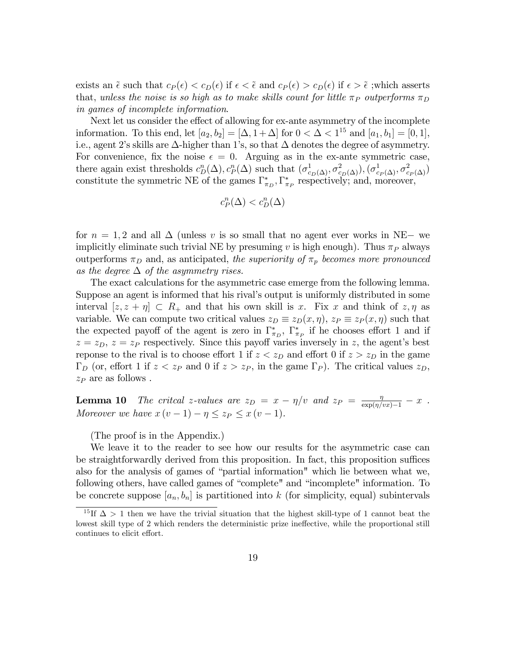exists an  $\tilde{\epsilon}$  such that  $c_P(\epsilon) < c_D(\epsilon)$  if  $\epsilon < \tilde{\epsilon}$  and  $c_P(\epsilon) > c_D(\epsilon)$  if  $\epsilon > \tilde{\epsilon}$ ; which asserts that, unless the noise is so high as to make skills count for little  $\pi_P$  outperforms  $\pi_D$ in games of incomplete information.

Next let us consider the effect of allowing for ex-ante asymmetry of the incomplete information. To this end, let  $[a_2, b_2] = [\Delta, 1 + \Delta]$  for  $0 < \Delta < 1^{15}$  and  $[a_1, b_1] = [0, 1]$ , i.e., agent 2's skills are  $\Delta$ -higher than 1's, so that  $\Delta$  denotes the degree of asymmetry. For convenience, fix the noise  $\epsilon = 0$ . Arguing as in the ex-ante symmetric case, there again exist thresholds  $c_D^n(\Delta), c_P^n(\Delta)$  such that  $(\sigma_{c_D(\Delta)}^1, \sigma_{c_D(\Delta)}^2), (\sigma_{c_P(\Delta)}^1, \sigma_{c_P(\Delta)}^2)$ constitute the symmetric NE of the games  $\Gamma_{\pi_D}^*$ ,  $\Gamma_{\pi_P}^*$  respectively; and, moreover,

$$
c_P^n(\Delta) < c_D^n(\Delta)
$$

for  $n = 1, 2$  and all  $\Delta$  (unless v is so small that no agent ever works in NE- we implicitly eliminate such trivial NE by presuming v is high enough). Thus  $\pi_P$  always outperforms  $\pi_D$  and, as anticipated, the superiority of  $\pi_p$  becomes more pronounced as the degree  $\Delta$  of the asymmetry rises.

The exact calculations for the asymmetric case emerge from the following lemma. Suppose an agent is informed that his rival's output is uniformly distributed in some interval  $|z, z + \eta| \subset R_+$  and that his own skill is x. Fix x and think of  $z, \eta$  as variable. We can compute two critical values  $z_D \equiv z_D(x, \eta)$ ,  $z_P \equiv z_P(x, \eta)$  such that the expected payoff of the agent is zero in  $\Gamma_{\pi_D}^*$ ,  $\Gamma_{\pi_P}^*$  if he chooses effort 1 and if  $z = z_D$ ,  $z = z_P$  respectively. Since this payoff varies inversely in z, the agent's best reponse to the rival is to choose effort 1 if  $z < z<sub>D</sub>$  and effort 0 if  $z > z<sub>D</sub>$  in the game  $\Gamma_D$  (or, effort 1 if  $z < z_P$  and 0 if  $z > z_P$ , in the game  $\Gamma_P$ ). The critical values  $z_D$ ,  $z_P$  are as follows.

**Lemma 10** The critcal z-values are  $z_D = x - \eta/v$  and  $z_P = \frac{\eta}{\exp(\eta/vx)-1} - x$ . Moreover we have  $x(v-1) - \eta \leq z_P \leq x(v-1)$ .

(The proof is in the Appendix.)

We leave it to the reader to see how our results for the asymmetric case can be straightforwardly derived from this proposition. In fact, this proposition suffices also for the analysis of games of "partial information" which lie between what we, following others, have called games of "complete" and "incomplete" information. To be concrete suppose  $[a_n, b_n]$  is partitioned into k (for simplicity, equal) subintervals

<sup>&</sup>lt;sup>15</sup>If  $\Delta > 1$  then we have the trivial situation that the highest skill-type of 1 cannot beat the lowest skill type of 2 which renders the deterministic prize ineffective, while the proportional still continues to elicit effort.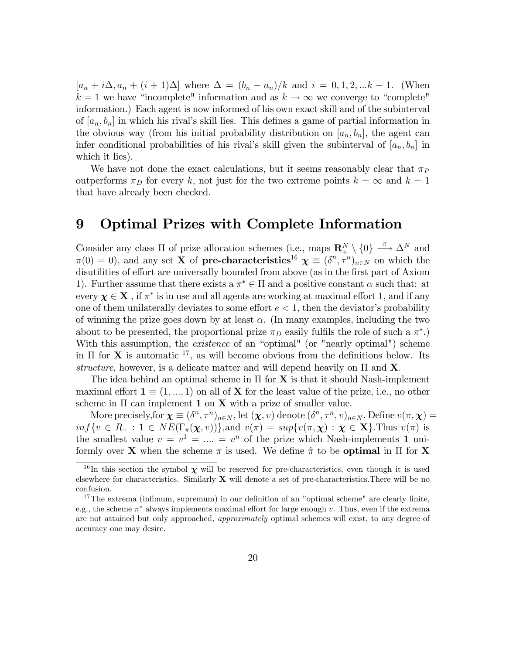$[a_n + i\Delta, a_n + (i+1)\Delta]$  where  $\Delta = (b_n - a_n)/k$  and  $i = 0, 1, 2, ...k - 1$ . (When  $k = 1$  we have "incomplete" information and as  $k \to \infty$  we converge to "complete" information.) Each agent is now informed of his own exact skill and of the subinterval of  $[a_n, b_n]$  in which his rival's skill lies. This defines a game of partial information in the obvious way (from his initial probability distribution on  $[a_n, b_n]$ , the agent can infer conditional probabilities of his rival's skill given the subinterval of  $[a_n, b_n]$  in which it lies).

We have not done the exact calculations, but it seems reasonably clear that  $\pi_P$ outperforms  $\pi_D$  for every k, not just for the two extreme points  $k = \infty$  and  $k = 1$ that have already been checked.

## 9 Optimal Prizes with Complete Information

Consider any class  $\Pi$  of prize allocation schemes (i.e., maps  $\mathbb{R}^N_+ \setminus \{0\} \stackrel{\pi}{\longrightarrow} \Delta^N$  and  $\pi(0) = 0$ , and any set **X** of **pre-characteristics**<sup>16</sup>  $\boldsymbol{\chi} \equiv (\delta^n, \tau^n)_{n \in \mathbb{N}}$  on which the disutilities of effort are universally bounded from above (as in the first part of Axiom 1). Further assume that there exists a  $\pi^* \in \Pi$  and a positive constant  $\alpha$  such that: at every  $\chi \in X$ , if  $\pi^*$  is in use and all agents are working at maximal effort 1, and if any one of them unilaterally deviates to some effort  $e < 1$ , then the deviator's probability of winning the prize goes down by at least  $\alpha$ . (In many examples, including the two about to be presented, the proportional prize  $\pi_D$  easily fulfils the role of such a  $\pi^*$ .) With this assumption, the *existence* of an "optimal" (or "nearly optimal") scheme in  $\Pi$  for **X** is automatic <sup>17</sup>, as will become obvious from the definitions below. Its structure, however, is a delicate matter and will depend heavily on  $\Pi$  and **X**.

The idea behind an optimal scheme in  $\Pi$  for  $X$  is that it should Nash-implement maximal effort  $\mathbf{1} \equiv (1, ..., 1)$  on all of **X** for the least value of the prize, i.e., no other scheme in  $\Pi$  can implement 1 on **X** with a prize of smaller value.

More precisely, for  $\chi \equiv (\delta^n, \tau^n)_{n \in N}$ , let  $(\chi, v)$  denote  $(\delta^n, \tau^n, v)_{n \in N}$ . Define  $v(\pi, \chi)$  =  $inf\{v \in R_+ : 1 \in NE(\Gamma_\pi(\chi, v))\}\$ , and  $v(\pi) = sup\{v(\pi, \chi) : \chi \in \mathbf{X}\}\$ . Thus  $v(\pi)$  is the smallest value  $v = v^1 = ... = v^n$  of the prize which Nash-implements 1 uniformly over **X** when the scheme  $\pi$  is used. We define  $\hat{\pi}$  to be **optimal** in  $\Pi$  for **X** 

<sup>&</sup>lt;sup>16</sup>In this section the symbol  $\chi$  will be reserved for pre-characteristics, even though it is used elsewhere for characteristics. Similarly  $X$  will denote a set of pre-characteristics. There will be no confusion.

<sup>&</sup>lt;sup>17</sup>The extrema (infimum, supremum) in our definition of an "optimal scheme" are clearly finite, e.g., the scheme  $\pi^*$  always implements maximal effort for large enough v. Thus, even if the extrema are not attained but only approached, approximately optimal schemes will exist, to any degree of accuracy one may desire.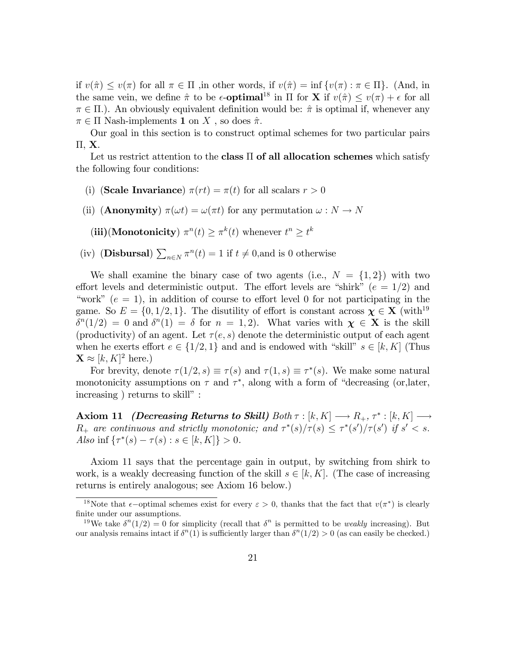if  $v(\hat{\pi}) \le v(\pi)$  for all  $\pi \in \Pi$ , in other words, if  $v(\hat{\pi}) = \inf \{v(\pi) : \pi \in \Pi\}$ . (And, in the same vein, we define  $\hat{\pi}$  to be  $\epsilon$ -**optimal**<sup>18</sup> in  $\Pi$  for **X** if  $v(\hat{\pi}) \leq v(\pi) + \epsilon$  for all  $\pi \in \Pi$ ). An obviously equivalent definition would be:  $\hat{\pi}$  is optimal if, whenever any  $\pi \in \Pi$  Nash-implements 1 on X, so does  $\hat{\pi}$ .

Our goal in this section is to construct optimal schemes for two particular pairs  $\Pi$ , X.

Let us restrict attention to the class  $\Pi$  of all allocation schemes which satisfy the following four conditions:

- (i) (Scale Invariance)  $\pi(rt) = \pi(t)$  for all scalars  $r > 0$
- (ii) (**Anonymity**)  $\pi(\omega t) = \omega(\pi t)$  for any permutation  $\omega : N \to N$

(iii)(Monotonicity)  $\pi^n(t) \geq \pi^k(t)$  whenever  $t^n \geq t^k$ 

(iv) (**Disbursal**)  $\sum_{n \in \mathbb{N}} \pi^n(t) = 1$  if  $t \neq 0$ , and is 0 otherwise

We shall examine the binary case of two agents (i.e.,  $N = \{1, 2\}$ ) with two effort levels and deterministic output. The effort levels are "shirk" ( $e = 1/2$ ) and "work" ( $e = 1$ ), in addition of course to effort level 0 for not participating in the game. So  $E = \{0, 1/2, 1\}$ . The disutility of effort is constant across  $\chi \in X$  (with<sup>19</sup>)  $\delta^{n}(1/2) = 0$  and  $\delta^{n}(1) = \delta$  for  $n = 1, 2$ ). What varies with  $\chi \in \mathbf{X}$  is the skill (productivity) of an agent. Let  $\tau(e, s)$  denote the deterministic output of each agent when he exerts effort  $e \in \{1/2, 1\}$  and and is endowed with "skill"  $s \in [k, K]$  (Thus  $\mathbf{X} \approx [k, K]^2$  here.)

For brevity, denote  $\tau(1/2, s) \equiv \tau(s)$  and  $\tau(1, s) \equiv \tau^*(s)$ . We make some natural monotonicity assumptions on  $\tau$  and  $\tau^*$ , along with a form of "decreasing (or, later,  $increasing$ ) returns to skill":

Axiom 11 *(Decreasing Returns to Skill)*  $Both \tau : [k, K] \longrightarrow R_+, \tau^* : [k, K] \longrightarrow$  $R_+$  are continuous and strictly monotonic; and  $\tau^*(s)/\tau(s) \leq \tau^*(s')/\tau(s')$  if  $s' < s$ . Also inf  $\{\tau^*(s) - \tau(s) : s \in [k, K]\} > 0.$ 

Axiom 11 says that the percentage gain in output, by switching from shirk to work, is a weakly decreasing function of the skill  $s \in [k, K]$ . (The case of increasing returns is entirely analogous; see Axiom 16 below.)

<sup>&</sup>lt;sup>18</sup>Note that  $\epsilon$ -optimal schemes exist for every  $\epsilon > 0$ , thanks that the fact that  $v(\pi^*)$  is clearly finite under our assumptions.

<sup>&</sup>lt;sup>19</sup>We take  $\delta^{n}(1/2) = 0$  for simplicity (recall that  $\delta^{n}$  is permitted to be *weakly* increasing). But our analysis remains intact if  $\delta^{n}(1)$  is sufficiently larger than  $\delta^{n}(1/2) > 0$  (as can easily be checked.)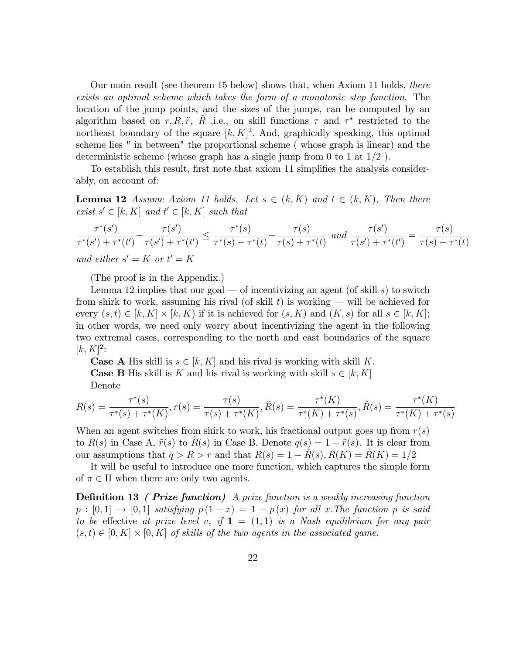Our main result (see theorem 15 below) shows that, when Axiom 11 holds, there exists an optimal scheme which takes the form of a monotonic step function. The location of the jump points, and the sizes of the jumps, can be computed by an algorithm based on  $r, R, \tilde{r}$ ,  $\tilde{R}$ , i.e., on skill functions  $\tau$  and  $\tau^*$  restricted to the northeast boundary of the square  $[k, K]^2$ . And, graphically speaking, this optimal scheme lies " in between" the proportional scheme ( whose graph is linear) and the deterministic scheme (whose graph has a single jump from 0 to 1 at  $1/2$ ).

To establish this result, first note that axiom 11 simplifies the analysis considerably, on account of:

**Lemma 12** Assume Axiom 11 holds. Let  $s \in (k, K)$  and  $t \in (k, K)$ , Then there exist  $s' \in [k, K]$  and  $t' \in [k, K]$  such that

$$
\frac{\tau^*(s')}{\tau^*(s') + \tau^*(t')} - \frac{\tau(s')}{\tau(s') + \tau^*(t')} \le \frac{\tau^*(s)}{\tau^*(s) + \tau^*(t)} - \frac{\tau(s)}{\tau(s) + \tau^*(t)} \text{ and } \frac{\tau(s')}{\tau(s') + \tau^*(t')} = \frac{\tau(s)}{\tau(s) + \tau^*(t)}
$$
  
and either  $s' = K$  or  $t' = K$ 

(The proof is in the Appendix.)

Lemma 12 implies that our goal – of incentivizing an agent (of skill s) to switch from shirk to work, assuming his rival (of skill t) is working  $-\text{ will be achieved for}$ every  $(s,t) \in [k, K] \times [k, K)$  if it is achieved for  $(s, K)$  and  $(K, s)$  for all  $s \in [k, K]$ ; in other words, we need only worry about incentivizing the agent in the following two extremal cases, corresponding to the north and east boundaries of the square  $[k, K]^2$ :

**Case A** His skill is  $s \in [k, K]$  and his rival is working with skill K. **Case B** His skill is K and his rival is working with skill  $s \in [k, K]$ Denote

$$
R(s) = \frac{\tau^*(s)}{\tau^*(s) + \tau^*(K)}, r(s) = \frac{\tau(s)}{\tau(s) + \tau^*(K)}, \tilde{R}(s) = \frac{\tau^*(K)}{\tau^*(K) + \tau^*(s)}, \tilde{R}(s) = \frac{\tau^*(K)}{\tau^*(K) + \tau^*(s)}
$$

When an agent switches from shirk to work, his fractional output goes up from  $r(s)$ to  $R(s)$  in Case A,  $\tilde{r}(s)$  to  $R(s)$  in Case B. Denote  $q(s) = 1 - \tilde{r}(s)$ . It is clear from our assumptions that  $q > R > r$  and that  $R(s) = 1 - R(s), R(K) = R(K) = 1/2$ 

It will be useful to introduce one more function, which captures the simple form of  $\pi \in \Pi$  when there are only two agents.

**Definition 13** ( Prize function) A prize function is a weakly increasing function  $p : [0, 1] \rightarrow [0, 1]$  satisfying  $p(1 - x) = 1 - p(x)$  for all x. The function p is said to be effective at prize level v, if  $\mathbf{1} = (1,1)$  is a Nash equilibrium for any pair  $(s,t) \in [0,K] \times [0,K]$  of skills of the two agents in the associated game.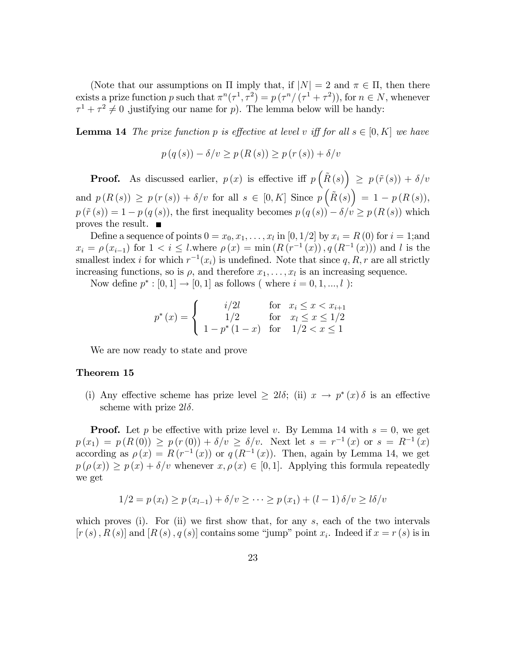(Note that our assumptions on  $\Pi$  imply that, if  $|N|=2$  and  $\pi \in \Pi$ , then there exists a prize function p such that  $\pi^{n}(\tau^{1}, \tau^{2}) = p(\tau^{n}/(\tau^{1} + \tau^{2}))$ , for  $n \in N$ , whenever  $\tau^1 + \tau^2 \neq 0$  , justifying our name for p). The lemma below will be handy:

**Lemma 14** The prize function p is effective at level v iff for all  $s \in [0, K]$  we have

$$
p(q(s)) - \delta/v \ge p(R(s)) \ge p(r(s)) + \delta/v
$$

**Proof.** As discussed earlier,  $p(x)$  is effective iff  $p\left(\tilde{R}(s)\right) \geq p(\tilde{r}(s)) + \delta/v$ and  $p(R(s)) \ge p(r(s)) + \delta/v$  for all  $s \in [0, K]$  Since  $p\left(\tilde{R}(s)\right) = 1 - p(R(s)),$  $p(\tilde{r}(s)) = 1 - p(q(s))$ , the first inequality becomes  $p(q(s)) - \delta/v \geq p(R(s))$  which proves the result.  $\blacksquare$ 

Define a sequence of points  $0 = x_0, x_1, \ldots, x_l$  in  $[0, 1/2]$  by  $x_i = R(0)$  for  $i = 1;$ and  $x_i = \rho(x_{i-1})$  for  $1 < i \leq l$ . where  $\rho(x) = \min(R(r^{-1}(x)), q(R^{-1}(x)))$  and l is the smallest index *i* for which  $r^{-1}(x_i)$  is undefined. Note that since q, R, r are all strictly increasing functions, so is  $\rho$ , and therefore  $x_1, \ldots, x_l$  is an increasing sequence.

Now define  $p^* : [0, 1] \to [0, 1]$  as follows (where  $i = 0, 1, ..., l$ ):

$$
p^*(x) = \begin{cases} i/2l & \text{for } x_i \le x < x_{i+1} \\ 1/2 & \text{for } x_l \le x \le 1/2 \\ 1 - p^*(1-x) & \text{for } 1/2 < x \le 1 \end{cases}
$$

We are now ready to state and prove

#### Theorem 15

(i) Any effective scheme has prize level  $\geq 2l\delta$ ; (ii)  $x \to p^*(x)\delta$  is an effective scheme with prize  $2l\delta$ .

**Proof.** Let p be effective with prize level v. By Lemma 14 with  $s = 0$ , we get  $p(x_1) = p(R(0)) \ge p(r(0)) + \delta/v \ge \delta/v.$  Next let  $s = r^{-1}(x)$  or  $s = R^{-1}(x)$ according as  $\rho(x) = R(r^{-1}(x))$  or  $q(R^{-1}(x))$ . Then, again by Lemma 14, we get  $p(\rho(x)) \geq p(x) + \delta/v$  whenever  $x, \rho(x) \in [0, 1]$ . Applying this formula repeatedly we get

$$
1/2 = p(x_l) \ge p(x_{l-1}) + \delta/v \ge \cdots \ge p(x_1) + (l-1)\delta/v \ge l\delta/v
$$

which proves (i). For (ii) we first show that, for any  $s$ , each of the two intervals  $[r(s), R(s)]$  and  $[R(s), q(s)]$  contains some "jump" point  $x_i$ . Indeed if  $x = r(s)$  is in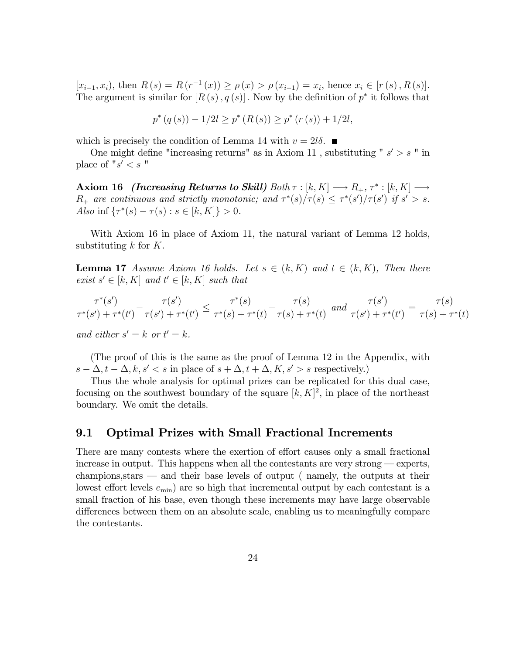$[x_{i-1}, x_i)$ , then  $R(s) = R(r^{-1}(x)) \ge \rho(x) > \rho(x_{i-1}) = x_i$ , hence  $x_i \in [r(s), R(s)]$ . The argument is similar for  $[R(s), q(s)]$ . Now by the definition of  $p^*$  it follows that

$$
p^*(q(s)) - 1/2l \ge p^*(R(s)) \ge p^*(r(s)) + 1/2l,
$$

which is precisely the condition of Lemma 14 with  $v = 2l\delta$ .

One might define "increasing returns" as in Axiom 11, substituting " $s' > s$ " in place of  $"s' < s"$ 

Axiom 16 *(Increasing Returns to Skill)* Both  $\tau : [k, K] \longrightarrow R_+, \tau^* : [k, K] \longrightarrow$  $R_+$  are continuous and strictly monotonic; and  $\tau^*(s)/\tau(s) \leq \tau^*(s')/\tau(s')$  if  $s' > s$ . Also inf  $\{\tau^*(s) - \tau(s) : s \in [k, K]\} > 0.$ 

With Axiom 16 in place of Axiom 11, the natural variant of Lemma 12 holds, substituting  $k$  for  $K$ .

**Lemma 17** Assume Axiom 16 holds. Let  $s \in (k, K)$  and  $t \in (k, K)$ , Then there exist  $s' \in [k, K]$  and  $t' \in [k, K]$  such that

$$
\frac{\tau^*(s')}{\tau^*(s') + \tau^*(t')} - \frac{\tau(s')}{\tau(s') + \tau^*(t')} \le \frac{\tau^*(s)}{\tau^*(s) + \tau^*(t)} - \frac{\tau(s)}{\tau(s) + \tau^*(t)} \text{ and } \frac{\tau(s')}{\tau(s') + \tau^*(t')} = \frac{\tau(s)}{\tau(s) + \tau^*(t)}
$$

and either  $s' = k$  or  $t' = k$ .

(The proof of this is the same as the proof of Lemma 12 in the Appendix, with  $s - \Delta, t - \Delta, k, s' < s$  in place of  $s + \Delta, t + \Delta, K, s' > s$  respectively.)

Thus the whole analysis for optimal prizes can be replicated for this dual case, focusing on the southwest boundary of the square  $[k, K]^2$ , in place of the northeast boundary. We omit the details.

### 9.1 Optimal Prizes with Small Fractional Increments

There are many contests where the exertion of effort causes only a small fractional increase in output. This happens when all the contestants are very strong  $-$  experts,  $champions, stars — and their base levels of output (namely, the outputs at their$ lowest effort levels  $e_{\min}$ ) are so high that incremental output by each contestant is a small fraction of his base, even though these increments may have large observable differences between them on an absolute scale, enabling us to meaningfully compare the contestants.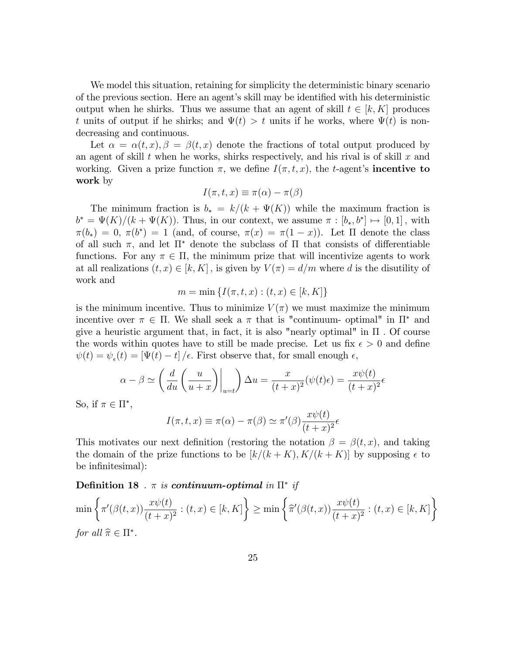We model this situation, retaining for simplicity the deterministic binary scenario of the previous section. Here an agent's skill may be identified with his deterministic output when he shirks. Thus we assume that an agent of skill  $t \in [k, K]$  produces t units of output if he shirks; and  $\Psi(t) > t$  units if he works, where  $\Psi(t)$  is nondecreasing and continuous.

Let  $\alpha = \alpha(t, x), \beta = \beta(t, x)$  denote the fractions of total output produced by an agent of skill  $t$  when he works, shirks respectively, and his rival is of skill  $x$  and working. Given a prize function  $\pi$ , we define  $I(\pi, t, x)$ , the t-agent's **incentive to** work by

$$
I(\pi, t, x) \equiv \pi(\alpha) - \pi(\beta)
$$

The minimum fraction is  $b_* = k/(k + \Psi(K))$  while the maximum fraction is  $b^* = \Psi(K)/(k + \Psi(K))$ . Thus, in our context, we assume  $\pi : [b_*, b^*] \mapsto [0,1]$ , with  $\pi(b_*) = 0, \pi(b^*) = 1$  (and, of course,  $\pi(x) = \pi(1-x)$ ). Let  $\Pi$  denote the class of all such  $\pi$ , and let  $\Pi^*$  denote the subclass of  $\Pi$  that consists of differentiable functions. For any  $\pi \in \Pi$ , the minimum prize that will incentivize agents to work at all realizations  $(t, x) \in [k, K]$ , is given by  $V(\pi) = d/m$  where d is the disutility of work and

$$
m = \min \{ I(\pi, t, x) : (t, x) \in [k, K] \}
$$

is the minimum incentive. Thus to minimize  $V(\pi)$  we must maximize the minimum incentive over  $\pi \in \Pi$ . We shall seek a  $\pi$  that is "continuum- optimal" in  $\Pi^*$  and give a heuristic argument that, in fact, it is also "nearly optimal" in  $\Pi$ . Of course the words within quotes have to still be made precise. Let us fix  $\epsilon > 0$  and define  $\psi(t) = \psi_{\epsilon}(t) = \left[\Psi(t) - t\right] / \epsilon$ . First observe that, for small enough  $\epsilon$ ,

$$
\alpha - \beta \simeq \left(\frac{d}{du}\left(\frac{u}{u+x}\right)\Big|_{u=t}\right)\Delta u = \frac{x}{(t+x)^2}(\psi(t)\epsilon) = \frac{x\psi(t)}{(t+x)^2}\epsilon
$$

So, if  $\pi \in \Pi^*,$ 

$$
I(\pi, t, x) \equiv \pi(\alpha) - \pi(\beta) \simeq \pi'(\beta) \frac{x \psi(t)}{(t+x)^2} \epsilon
$$

This motivates our next definition (restoring the notation  $\beta = \beta(t, x)$ , and taking the domain of the prize functions to be  $[k/(k + K), K/(k + K)]$  by supposing  $\epsilon$  to be infinitesimal):

Definition 18 .  $\pi$  is continuum-optimal in  $\Pi^*$  if

$$
\min\left\{\pi'(\beta(t,x))\frac{x\psi(t)}{(t+x)^2} : (t,x) \in [k,K]\right\} \ge \min\left\{\widehat{\pi}'(\beta(t,x))\frac{x\psi(t)}{(t+x)^2} : (t,x) \in [k,K]\right\}
$$
  
for all  $\widehat{\pi} \in \Pi^*$ .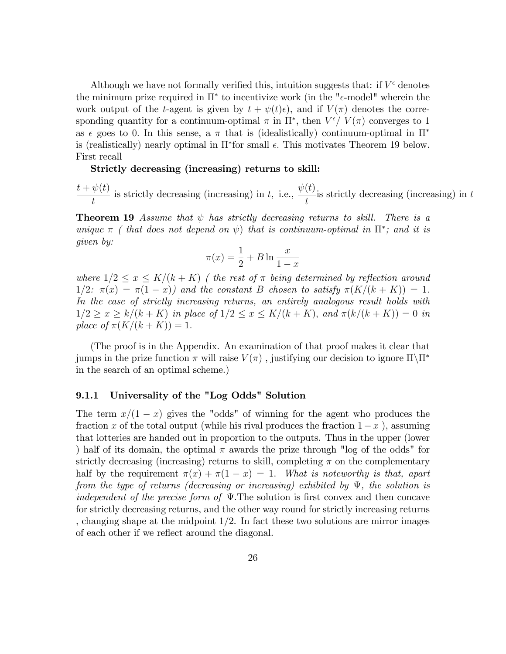Although we have not formally verified this, intuition suggests that: if  $V^{\epsilon}$  denotes the minimum prize required in  $\Pi^*$  to incentivize work (in the " $\epsilon$ -model" wherein the work output of the t-agent is given by  $t + \psi(t)\epsilon$ , and if  $V(\pi)$  denotes the corresponding quantity for a continuum-optimal  $\pi$  in  $\Pi^*$ , then  $V^{\epsilon}/V(\pi)$  converges to 1 as  $\epsilon$  goes to 0. In this sense, a  $\pi$  that is (idealistically) continuum-optimal in  $\Pi^*$ is (realistically) nearly optimal in  $\Pi^*$  for small  $\epsilon$ . This motivates Theorem 19 below. First recall

Strictly decreasing (increasing) returns to skill:

 $t + \psi(t)$ t is strictly decreasing (increasing) in  $t$ , i.e.,  $\psi(t)$ t is strictly decreasing (increasing) in  $t$ 

**Theorem 19** Assume that  $\psi$  has strictly decreasing returns to skill. There is a unique  $\pi$  ( that does not depend on  $\psi$ ) that is continuum-optimal in  $\Pi^*$ ; and it is given by:

$$
\pi(x) = \frac{1}{2} + B \ln \frac{x}{1-x}
$$

where  $1/2 \leq x \leq K/(k + K)$  (the rest of  $\pi$  being determined by reflection around  $1/2$ :  $\pi(x) = \pi(1 - x)$  and the constant B chosen to satisfy  $\pi(K/(k + K)) = 1$ . In the case of strictly increasing returns, an entirely analogous result holds with  $1/2 \ge x \ge k/(k + K)$  in place of  $1/2 \le x \le K/(k + K)$ , and  $\pi(k/(k + K)) = 0$  in place of  $\pi(K/(k + K)) = 1$ .

(The proof is in the Appendix. An examination of that proof makes it clear that jumps in the prize function  $\pi$  will raise  $V(\pi)$ , justifying our decision to ignore  $\Pi\backslash\Pi^*$ in the search of an optimal scheme.)

## 9.1.1 Universality of the "Log Odds" Solution

The term  $x/(1 - x)$  gives the "odds" of winning for the agent who produces the fraction x of the total output (while his rival produces the fraction  $1-x$ ), assuming that lotteries are handed out in proportion to the outputs. Thus in the upper (lower ) half of its domain, the optimal  $\pi$  awards the prize through "log of the odds" for strictly decreasing (increasing) returns to skill, completing  $\pi$  on the complementary half by the requirement  $\pi(x) + \pi(1 - x) = 1$ . What is noteworthy is that, apart from the type of returns (decreasing or increasing) exhibited by  $\Psi$ , the solution is independent of the precise form of  $\Psi$ . The solution is first convex and then concave for strictly decreasing returns, and the other way round for strictly increasing returns , changing shape at the midpoint 1/2. In fact these two solutions are mirror images of each other if we reflect around the diagonal.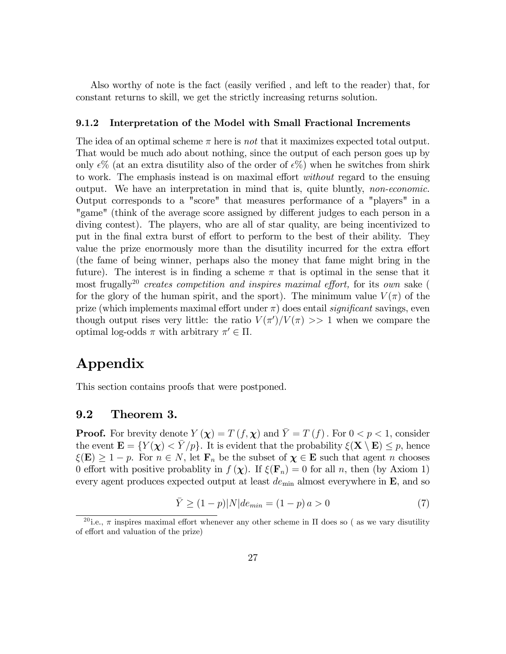Also worthy of note is the fact (easily verified, and left to the reader) that, for constant returns to skill, we get the strictly increasing returns solution.

#### 9.1.2 Interpretation of the Model with Small Fractional Increments

The idea of an optimal scheme  $\pi$  here is *not* that it maximizes expected total output. That would be much ado about nothing, since the output of each person goes up by only  $\epsilon\%$  (at an extra disutility also of the order of  $\epsilon\%$ ) when he switches from shirk to work. The emphasis instead is on maximal effort *without* regard to the ensuing output. We have an interpretation in mind that is, quite bluntly, non-economic. Output corresponds to a "score" that measures performance of a "players" in a "game" (think of the average score assigned by different judges to each person in a diving contest). The players, who are all of star quality, are being incentivized to put in the final extra burst of effort to perform to the best of their ability. They value the prize enormously more than the disutility incurred for the extra effort (the fame of being winner, perhaps also the money that fame might bring in the future). The interest is in finding a scheme  $\pi$  that is optimal in the sense that it most frugally<sup>20</sup> creates competition and inspires maximal effort, for its own sake ( for the glory of the human spirit, and the sport). The minimum value  $V(\pi)$  of the prize (which implements maximal effort under  $\pi$ ) does entail *significant* savings, even though output rises very little: the ratio  $V(\pi')/V(\pi) >> 1$  when we compare the optimal log-odds  $\pi$  with arbitrary  $\pi' \in \Pi$ .

# Appendix

This section contains proofs that were postponed.

#### 9.2 Theorem 3.

**Proof.** For brevity denote  $Y(\chi) = T(f, \chi)$  and  $\overline{Y} = T(f)$ . For  $0 < p < 1$ , consider the event  $\mathbf{E} = \{Y(\boldsymbol{\chi}) < \bar{Y}/p\}$ . It is evident that the probability  $\xi(\mathbf{X} \setminus \mathbf{E}) \leq p$ , hence  $\xi(\mathbf{E}) \geq 1 - p$ . For  $n \in N$ , let  $\mathbf{F}_n$  be the subset of  $\boldsymbol{\chi} \in \mathbf{E}$  such that agent n chooses 0 effort with positive probablity in  $f(\chi)$ . If  $\xi(\mathbf{F}_n) = 0$  for all n, then (by Axiom 1) every agent produces expected output at least  $de_{\text{min}}$  almost everywhere in  $\mathbf{E}$ , and so

$$
\bar{Y} \ge (1 - p)|N|de_{min} = (1 - p)a > 0
$$
\n(7)

<sup>&</sup>lt;sup>20</sup> i.e.,  $\pi$  inspires maximal effort whenever any other scheme in  $\Pi$  does so ( as we vary disutility of effort and valuation of the prize)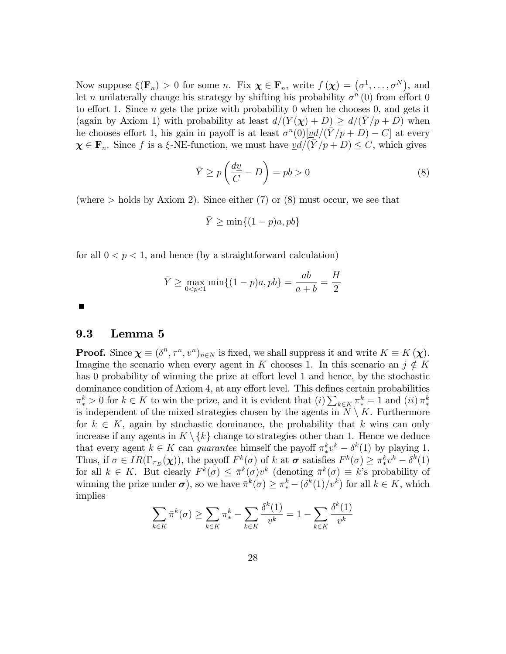Now suppose  $\xi(\mathbf{F}_n) > 0$  for some *n*. Fix  $\boldsymbol{\chi} \in \mathbf{F}_n$ , write  $f(\boldsymbol{\chi}) = (\sigma^1, \dots, \sigma^N)$ , and let *n* unilaterally change his strategy by shifting his probability  $\sigma^{n}(0)$  from effort 0 to effort 1. Since *n* gets the prize with probability 0 when he chooses 0, and gets it (again by Axiom 1) with probability at least  $d/(Y (\chi) + D) \geq d/(Y / p + D)$  when he chooses effort 1, his gain in payoff is at least  $\sigma^n(0)[\underline{v}d/(\overline{Y}/p+D)-C]$  at every  $\chi \in \mathbf{F}_n$ . Since f is a  $\xi$ -NE-function, we must have  $\underline{v}d/(\overline{Y}/p + D) \leq C$ , which gives

$$
\bar{Y} \ge p\left(\frac{dy}{C} - D\right) = pb > 0\tag{8}
$$

(where  $>$  holds by Axiom 2). Since either (7) or (8) must occur, we see that

$$
\bar{Y} \ge \min\{(1-p)a, pb\}
$$

for all  $0 < p < 1$ , and hence (by a straightforward calculation)

$$
\bar{Y} \ge \max_{0 < p < 1} \min\{(1 - p)a, pb\} = \frac{ab}{a + b} = \frac{H}{2}
$$

#### 9.3 Lemma 5

**Proof.** Since  $\chi \equiv (\delta^n, \tau^n, v^n)_{n \in \mathbb{N}}$  is fixed, we shall suppress it and write  $K \equiv K(\chi)$ . Imagine the scenario when every agent in K chooses 1. In this scenario an  $j \notin K$ has  $\theta$  probability of winning the prize at effort level 1 and hence, by the stochastic dominance condition of  $Axiom 4$ , at any effort level. This defines certain probabilities  $\pi^k > 0$  for  $k \in K$  to win the prize, and it is evident that  $(i) \sum_{k \in K} \pi^k = 1$  and  $(ii) \pi^k$  $*$ is independent of the mixed strategies chosen by the agents in  $N \setminus K$ . Furthermore for  $k \in K$ , again by stochastic dominance, the probability that k wins can only increase if any agents in  $K \setminus \{k\}$  change to strategies other than 1. Hence we deduce that every agent  $k \in K$  can *guarantee* himself the payoff  $\pi^k_*$  $e^k v^k - \delta^k(1)$  by playing 1. Thus, if  $\sigma \in IR(\Gamma_{\pi_D}(\boldsymbol{\chi}))$ , the payoff  $F^k(\sigma)$  of k at  $\sigma$  satisfies  $F^k(\sigma) \geq \pi_*^k$  $\frac{k}{r}v^k - \delta^k(1)$ for all  $k \in K$ . But clearly  $F^k(\sigma) \leq \bar{\pi}^k(\sigma)v^k$  (denoting  $\bar{\pi}^k(\sigma) \equiv k$ 's probability of winning the prize under  $\sigma$ ), so we have  $\bar{\pi}^k(\sigma) \geq \pi_*^k - (\delta^k(1)/v^k)$  for all  $k \in K$ , which implies

$$
\sum_{k \in K} \bar{\pi}^k(\sigma) \ge \sum_{k \in K} \pi^k_* - \sum_{k \in K} \frac{\delta^k(1)}{v^k} = 1 - \sum_{k \in K} \frac{\delta^k(1)}{v^k}
$$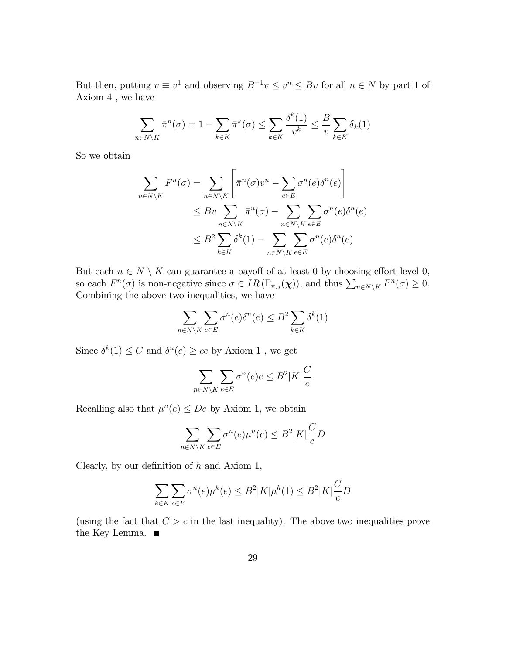But then, putting  $v \equiv v^1$  and observing  $B^{-1}v \leq v^n \leq Bv$  for all  $n \in N$  by part 1 of Axiom 4 , we have

$$
\sum_{n \in N \setminus K} \bar{\pi}^n(\sigma) = 1 - \sum_{k \in K} \bar{\pi}^k(\sigma) \le \sum_{k \in K} \frac{\delta^k(1)}{v^k} \le \frac{B}{v} \sum_{k \in K} \delta_k(1)
$$

So we obtain

$$
\sum_{n \in N \setminus K} F^n(\sigma) = \sum_{n \in N \setminus K} \left[ \bar{\pi}^n(\sigma) v^n - \sum_{e \in E} \sigma^n(e) \delta^n(e) \right]
$$
  

$$
\leq B v \sum_{n \in N \setminus K} \bar{\pi}^n(\sigma) - \sum_{n \in N \setminus K} \sum_{e \in E} \sigma^n(e) \delta^n(e)
$$
  

$$
\leq B^2 \sum_{k \in K} \delta^k(1) - \sum_{n \in N \setminus K} \sum_{e \in E} \sigma^n(e) \delta^n(e)
$$

But each  $n \in N \setminus K$  can guarantee a payoff of at least 0 by choosing effort level 0, so each  $F^n(\sigma)$  is non-negative since  $\sigma \in IR(\Gamma_{\pi_D}(\chi))$ , and thus  $\sum_{n \in N \setminus K} F^n(\sigma) \geq 0$ . Combining the above two inequalities, we have

$$
\sum_{n \in N \setminus K} \sum_{e \in E} \sigma^n(e) \delta^n(e) \le B^2 \sum_{k \in K} \delta^k(1)
$$

Since  $\delta^k(1) \leq C$  and  $\delta^n(e) \geq ce$  by Axiom 1, we get

$$
\sum_{n \in N \setminus K} \sum_{e \in E} \sigma^n(e) e \le B^2 |K| \frac{C}{c}
$$

Recalling also that  $\mu^n(e) \leq De$  by Axiom 1, we obtain

$$
\sum_{n \in N \setminus K} \sum_{e \in E} \sigma^n(e) \mu^n(e) \le B^2 |K| \frac{C}{c} D
$$

Clearly, by our definition of  $h$  and Axiom 1,

$$
\sum_{k \in K} \sum_{e \in E} \sigma^n(e) \mu^k(e) \le B^2 |K| \mu^h(1) \le B^2 |K| \frac{C}{c} D
$$

(using the fact that  $C > c$  in the last inequality). The above two inequalities prove the Key Lemma.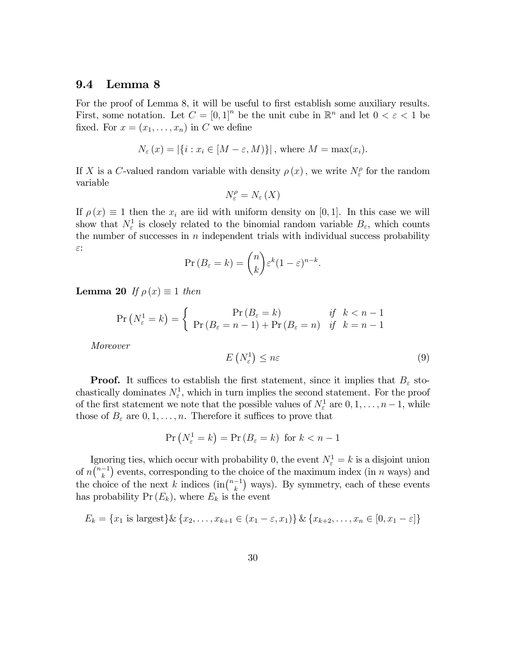#### 9.4 Lemma 8

For the proof of Lemma 8, it will be useful to first establish some auxiliary results. First, some notation. Let  $C = [0,1]^n$  be the unit cube in  $\mathbb{R}^n$  and let  $0 < \varepsilon < 1$  be fixed. For  $x = (x_1, \ldots, x_n)$  in C we define

$$
N_{\varepsilon}(x) = |\{i : x_i \in [M - \varepsilon, M)\}|
$$
, where  $M = \max(x_i)$ .

If X is a C-valued random variable with density  $\rho(x)$ , we write  $N_{\varepsilon}^{\rho}$  for the random variable

$$
N_{\varepsilon}^{\rho}=N_{\varepsilon}\left( X\right)
$$

If  $\rho(x) \equiv 1$  then the  $x_i$  are iid with uniform density on [0, 1]. In this case we will show that  $N_{\varepsilon}^1$  is closely related to the binomial random variable  $B_{\varepsilon}$ , which counts the number of successes in  $n$  independent trials with individual success probability  $\varepsilon$ :

$$
\Pr(B_{\varepsilon} = k) = \binom{n}{k} \varepsilon^k (1 - \varepsilon)^{n-k}.
$$

**Lemma 20** If  $\rho(x) \equiv 1$  then

$$
\Pr\left(N_{\varepsilon}^1 = k\right) = \begin{cases} \Pr\left(B_{\varepsilon} = k\right) & \text{if } k < n - 1\\ \Pr\left(B_{\varepsilon} = n - 1\right) + \Pr\left(B_{\varepsilon} = n\right) & \text{if } k = n - 1 \end{cases}
$$

Moreover

$$
E\left(N_{\varepsilon}^{1}\right) \leq n\varepsilon \tag{9}
$$

**Proof.** It suffices to establish the first statement, since it implies that  $B_{\varepsilon}$  stochastically dominates  $N_{\varepsilon}^1$ , which in turn implies the second statement. For the proof of the first statement we note that the possible values of  $N_{\varepsilon}^1$  are  $0, 1, \ldots, n-1$ , while those of  $B_{\varepsilon}$  are  $0, 1, \ldots, n$ . Therefore it suffices to prove that

$$
\Pr\left(N_{\varepsilon}^1 = k\right) = \Pr\left(B_{\varepsilon} = k\right) \text{ for } k < n - 1
$$

Ignoring ties, which occur with probability 0, the event  $N_{\varepsilon}^1 = k$  is a disjoint union of  $n\binom{n-1}{k}$  events, corresponding to the choice of the maximum index (in n ways) and the choice of the next k indices  $(\text{in} \binom{n-1}{k}$  ways). By symmetry, each of these events has probability  $Pr(E_k)$ , where  $E_k$  is the event

$$
E_k = \{x_1 \text{ is largest}\}\& \{x_2, \ldots, x_{k+1} \in (x_1 - \varepsilon, x_1)\}\& \{x_{k+2}, \ldots, x_n \in [0, x_1 - \varepsilon]\}\
$$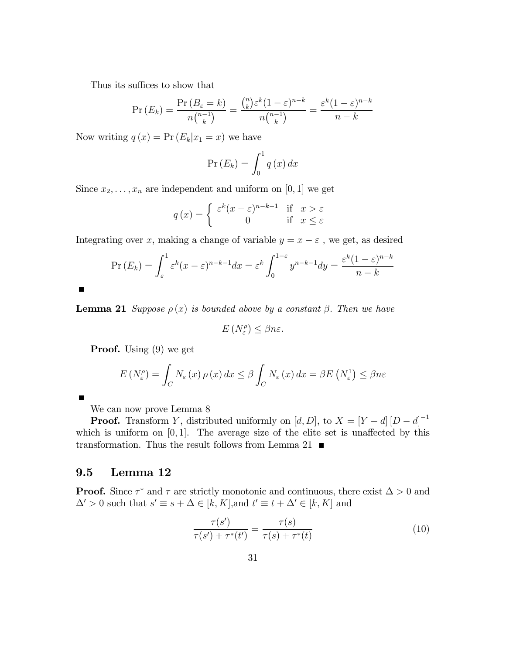Thus its suffices to show that

$$
\Pr(E_k) = \frac{\Pr(B_{\varepsilon} = k)}{n {n-1 \choose k}} = \frac{{n \choose k} \varepsilon^k (1-\varepsilon)^{n-k}}{n {n-1 \choose k}} = \frac{\varepsilon^k (1-\varepsilon)^{n-k}}{n-k}
$$

Now writing  $q(x) = Pr(E_k|x_1 = x)$  we have

$$
\Pr\left(E_k\right) = \int_0^1 q\left(x\right) dx
$$

Since  $x_2, \ldots, x_n$  are independent and uniform on [0, 1] we get

$$
q(x) = \begin{cases} \varepsilon^k (x - \varepsilon)^{n-k-1} & \text{if } x > \varepsilon \\ 0 & \text{if } x \le \varepsilon \end{cases}
$$

Integrating over x, making a change of variable  $y = x - \varepsilon$ , we get, as desired

$$
\Pr\left(E_k\right) = \int_{\varepsilon}^{1} \varepsilon^k (x - \varepsilon)^{n-k-1} dx = \varepsilon^k \int_0^{1-\varepsilon} y^{n-k-1} dy = \frac{\varepsilon^k (1-\varepsilon)^{n-k}}{n-k}
$$

**Lemma 21** Suppose  $\rho(x)$  is bounded above by a constant  $\beta$ . Then we have

$$
E\left(N_{\varepsilon}^{\rho}\right) \leq \beta n \varepsilon.
$$

**Proof.** Using (9) we get

 $\blacksquare$ 

П

$$
E\left(N_{\varepsilon}^{\rho}\right) = \int_{C} N_{\varepsilon}\left(x\right)\rho\left(x\right)dx \leq \beta \int_{C} N_{\varepsilon}\left(x\right)dx = \beta E\left(N_{\varepsilon}^{1}\right) \leq \beta n \varepsilon
$$

We can now prove Lemma 8

**Proof.** Transform Y, distributed uniformly on  $[d, D]$ , to  $X = [Y - d][D - d]^{-1}$ which is uniform on  $[0, 1]$ . The average size of the elite set is unaffected by this transformation. Thus the result follows from Lemma 21  $\, \blacksquare$ 

## 9.5 Lemma 12

**Proof.** Since  $\tau^*$  and  $\tau$  are strictly monotonic and continuous, there exist  $\Delta > 0$  and  $\Delta' > 0$  such that  $s' \equiv s + \Delta \in [k, K]$ , and  $t' \equiv t + \Delta' \in [k, K]$  and

$$
\frac{\tau(s')}{\tau(s') + \tau^*(t')} = \frac{\tau(s)}{\tau(s) + \tau^*(t)}
$$
(10)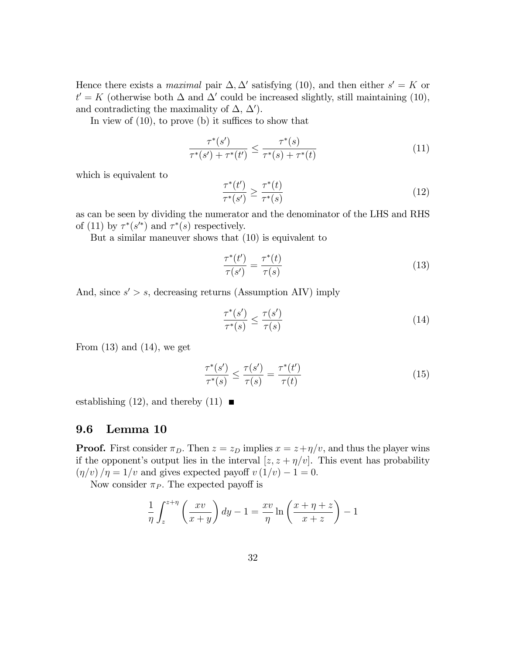Hence there exists a *maximal* pair  $\Delta$ ,  $\Delta'$  satisfying (10), and then either  $s' = K$  or  $t' = K$  (otherwise both  $\Delta$  and  $\Delta'$  could be increased slightly, still maintaining (10), and contradicting the maximality of  $\Delta$ ,  $\Delta'$ ).

In view of  $(10)$ , to prove  $(b)$  it suffices to show that

$$
\frac{\tau^*(s')}{\tau^*(s') + \tau^*(t')} \le \frac{\tau^*(s)}{\tau^*(s) + \tau^*(t)}
$$
(11)

which is equivalent to

$$
\frac{\tau^*(t')}{\tau^*(s')} \ge \frac{\tau^*(t)}{\tau^*(s)}\tag{12}
$$

as can be seen by dividing the numerator and the denominator of the LHS and RHS of (11) by  $\tau^*(s')$  and  $\tau^*(s)$  respectively.

But a similar maneuver shows that (10) is equivalent to

$$
\frac{\tau^*(t')}{\tau(s')} = \frac{\tau^*(t)}{\tau(s)}\tag{13}
$$

And, since  $s' > s$ , decreasing returns (Assumption AIV) imply

$$
\frac{\tau^*(s')}{\tau^*(s)} \le \frac{\tau(s')}{\tau(s)}\tag{14}
$$

From  $(13)$  and  $(14)$ , we get

$$
\frac{\tau^*(s')}{\tau^*(s)} \le \frac{\tau(s')}{\tau(s)} = \frac{\tau^*(t')}{\tau(t)}\tag{15}
$$

establishing (12), and thereby (11)  $\blacksquare$ 

#### 9.6 Lemma 10

**Proof.** First consider  $\pi_D$ . Then  $z = z_D$  implies  $x = z + \eta/v$ , and thus the player wins if the opponent's output lies in the interval  $[z, z + \eta/v]$ . This event has probability  $(\eta/v)/\eta = 1/v$  and gives expected payoff  $v(1/v) - 1 = 0$ .

Now consider  $\pi_P$ . The expected payoff is

$$
\frac{1}{\eta} \int_{z}^{z+\eta} \left( \frac{xv}{x+y} \right) dy - 1 = \frac{xv}{\eta} \ln \left( \frac{x+\eta+z}{x+z} \right) - 1
$$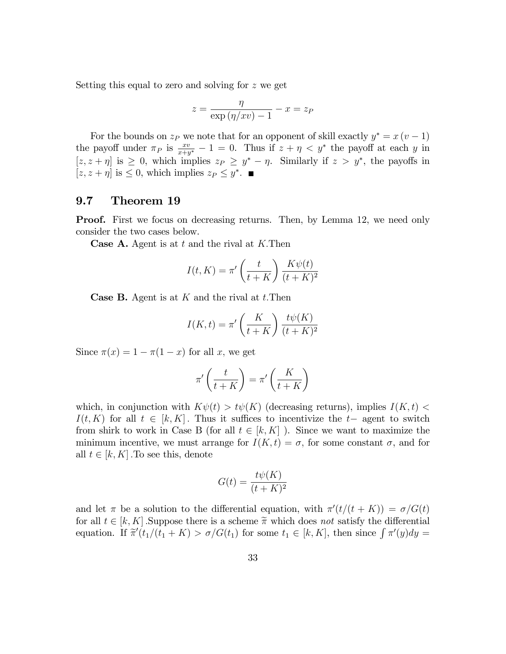Setting this equal to zero and solving for z we get

$$
z = \frac{\eta}{\exp\left(\eta/xv\right) - 1} - x = z_P
$$

For the bounds on  $z_P$  we note that for an opponent of skill exactly  $y^* = x (v - 1)$ the payoff under  $\pi_P$  is  $\frac{xy}{x+y^*}-1=0$ . Thus if  $z+\eta < y^*$  the payoff at each y in  $[z, z + \eta]$  is  $\geq 0$ , which implies  $z_P \geq y^* - \eta$ . Similarly if  $z > y^*$ , the payoffs in  $[z, z + \eta]$  is  $\leq 0$ , which implies  $z_P \leq y^*$ .

## 9.7 Theorem 19

**Proof.** First we focus on decreasing returns. Then, by Lemma 12, we need only consider the two cases below.

**Case A.** Agent is at t and the rival at K. Then

$$
I(t, K) = \pi' \left(\frac{t}{t+K}\right) \frac{K\psi(t)}{(t+K)^2}
$$

**Case B.** Agent is at  $K$  and the rival at  $t$ . Then

$$
I(K,t) = \pi' \left(\frac{K}{t+K}\right) \frac{t\psi(K)}{(t+K)^2}
$$

Since  $\pi(x) = 1 - \pi(1 - x)$  for all x, we get

$$
\pi'\left(\frac{t}{t+K}\right)=\pi'\left(\frac{K}{t+K}\right)
$$

which, in conjunction with  $K\psi(t) > t\psi(K)$  (decreasing returns), implies  $I(K, t)$  $I(t, K)$  for all  $t \in [k, K]$ . Thus it suffices to incentivize the  $t-$  agent to switch from shirk to work in Case B (for all  $t \in [k, K]$ ). Since we want to maximize the minimum incentive, we must arrange for  $I(K, t) = \sigma$ , for some constant  $\sigma$ , and for all  $t \in [k, K]$ . To see this, denote

$$
G(t) = \frac{t\psi(K)}{(t+K)^2}
$$

and let  $\pi$  be a solution to the differential equation, with  $\pi'(t/(t + K)) = \sigma/G(t)$ for all  $t \in [k, K]$ . Suppose there is a scheme  $\tilde{\pi}$  which does not satisfy the differential equation. If  $\tilde{\pi}'(t_1/(t_1 + K) > \sigma/G(t_1)$  for some  $t_1 \in [k, K]$ , then since  $\int \pi'(y)dy =$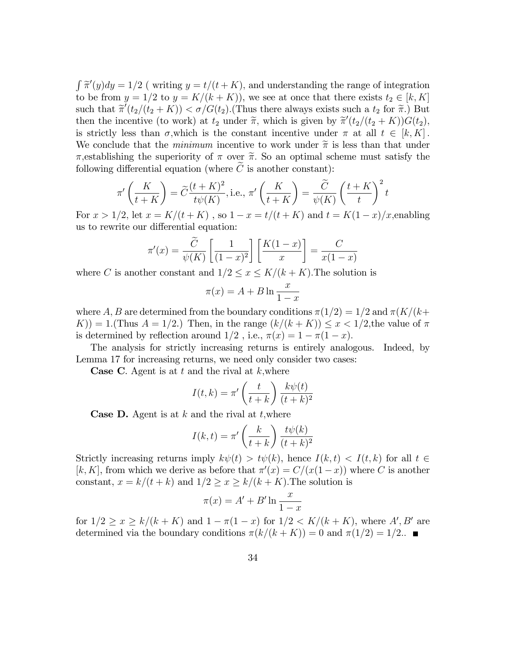$\int \widetilde{\pi}'(y)dy = 1/2$  (writing  $y = t/(t + K)$ , and understanding the range of integration to be from  $y = 1/2$  to  $y = K/(k + K)$ , we see at once that there exists  $t_2 \in [k, K]$ such that  $\widetilde{\pi}'(t_2/(t_2 + K)) < \sigma/G(t_2)$ . (Thus there always exists such a  $t_2$  for  $\widetilde{\pi}$ .) But then the incentive (to work) at  $t_2$  under  $\tilde{\pi}$ , which is given by  $\tilde{\pi}'(t_2/(t_2 + K))G(t_2)$ ; is strictly less than  $\sigma$ , which is the constant incentive under  $\pi$  at all  $t \in [k, K]$ . We conclude that the *minimum* incentive to work under  $\tilde{\pi}$  is less than that under  $\pi$ , establishing the superiority of  $\pi$  over  $\tilde{\pi}$ . So an optimal scheme must satisfy the following differential equation (where  $\tilde{C}$  is another constant):

$$
\pi'\left(\frac{K}{t+K}\right) = \widetilde{C}\frac{(t+K)^2}{t\psi(K)}, \text{i.e., } \pi'\left(\frac{K}{t+K}\right) = \frac{\widetilde{C}}{\psi(K)}\left(\frac{t+K}{t}\right)^2 t
$$

For  $x > 1/2$ , let  $x = K/(t + K)$ , so  $1 - x = t/(t + K)$  and  $t = K(1 - x)/x$ , enabling us to rewrite our differential equation:

$$
\pi'(x) = \frac{\widetilde{C}}{\psi(K)} \left[ \frac{1}{(1-x)^2} \right] \left[ \frac{K(1-x)}{x} \right] = \frac{C}{x(1-x)}
$$

where C is another constant and  $1/2 \le x \le K/(k + K)$ . The solution is

$$
\pi(x) = A + B \ln \frac{x}{1 - x}
$$

where A, B are determined from the boundary conditions  $\pi(1/2) = 1/2$  and  $\pi(K/(k+1))$  $K$ )) = 1.(Thus  $A = 1/2$ .) Then, in the range  $(k/(k + K)) \leq x < 1/2$ , the value of  $\pi$ is determined by reflection around  $1/2$ , i.e.,  $\pi(x) = 1 - \pi(1 - x)$ .

The analysis for strictly increasing returns is entirely analogous. Indeed, by Lemma 17 for increasing returns, we need only consider two cases:

**Case C.** Agent is at t and the rival at  $k$ , where

$$
I(t,k) = \pi' \left(\frac{t}{t+k}\right) \frac{k\psi(t)}{(t+k)^2}
$$

**Case D.** Agent is at k and the rival at t, where

$$
I(k,t) = \pi' \left(\frac{k}{t+k}\right) \frac{t\psi(k)}{(t+k)^2}
$$

Strictly increasing returns imply  $k\psi(t) > t\psi(k)$ , hence  $I(k, t) < I(t, k)$  for all  $t \in$ [k, K], from which we derive as before that  $\pi'(x) = C/(x(1-x))$  where C is another constant,  $x = k/(t + k)$  and  $1/2 \ge x \ge k/(k + K)$ . The solution is

$$
\pi(x) = A' + B' \ln \frac{x}{1-x}
$$

for  $1/2 \ge x \ge k/(k + K)$  and  $1 - \pi(1 - x)$  for  $1/2 < K/(k + K)$ , where A', B' are determined via the boundary conditions  $\pi(k/(k + K)) = 0$  and  $\pi(1/2) = 1/2$ .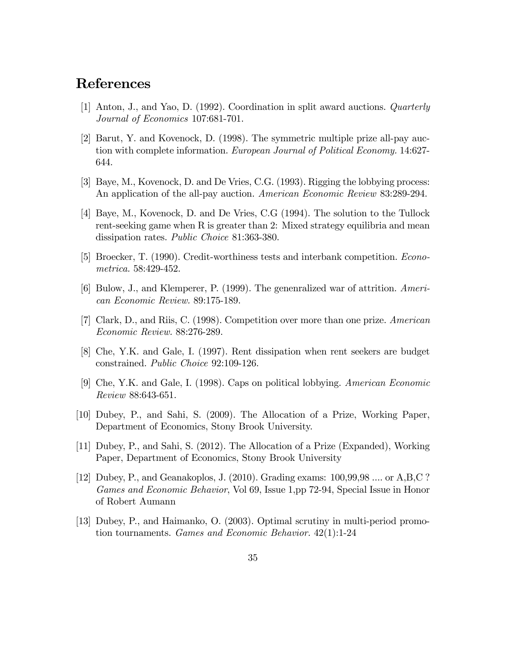# References

- [1] Anton, J., and Yao, D. (1992). Coordination in split award auctions. Quarterly Journal of Economics 107:681-701.
- [2] Barut, Y. and Kovenock, D. (1998). The symmetric multiple prize all-pay auction with complete information. European Journal of Political Economy. 14:627- 644.
- [3] Baye, M., Kovenock, D. and De Vries, C.G. (1993). Rigging the lobbying process: An application of the all-pay auction. American Economic Review 83:289-294.
- [4] Baye, M., Kovenock, D. and De Vries, C.G (1994). The solution to the Tullock rent-seeking game when R is greater than 2: Mixed strategy equilibria and mean dissipation rates. Public Choice 81:363-380.
- [5] Broecker, T. (1990). Credit-worthiness tests and interbank competition. Econometrica. 58:429-452.
- [6] Bulow, J., and Klemperer, P. (1999). The genenralized war of attrition. American Economic Review. 89:175-189.
- [7] Clark, D., and Riis, C. (1998). Competition over more than one prize. American Economic Review. 88:276-289.
- [8] Che, Y.K. and Gale, I. (1997). Rent dissipation when rent seekers are budget constrained. Public Choice 92:109-126.
- [9] Che, Y.K. and Gale, I. (1998). Caps on political lobbying. American Economic Review 88:643-651.
- [10] Dubey, P., and Sahi, S. (2009). The Allocation of a Prize, Working Paper, Department of Economics, Stony Brook University.
- [11] Dubey, P., and Sahi, S. (2012). The Allocation of a Prize (Expanded), Working Paper, Department of Economics, Stony Brook University
- [12] Dubey, P., and Geanakoplos, J. (2010). Grading exams: 100,99,98 .... or A,B,C ? Games and Economic Behavior, Vol 69, Issue 1,pp 72-94, Special Issue in Honor of Robert Aumann
- [13] Dubey, P., and Haimanko, O. (2003). Optimal scrutiny in multi-period promotion tournaments. Games and Economic Behavior. 42(1):1-24